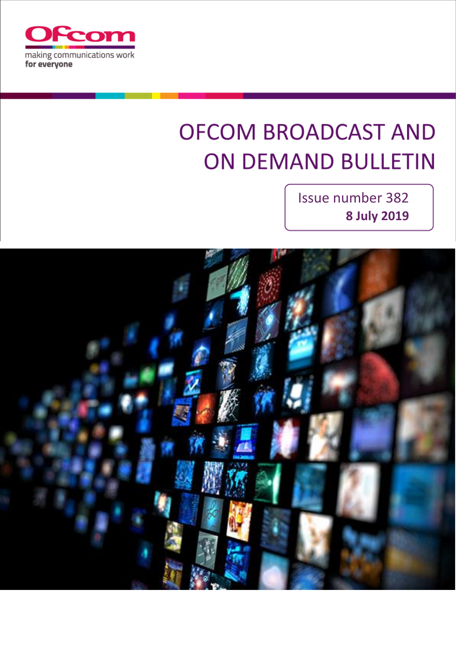

# **OFCOM BROADCAST AND ON DEMAND BULLETIN**

Issue number 382 **8 July 2019**

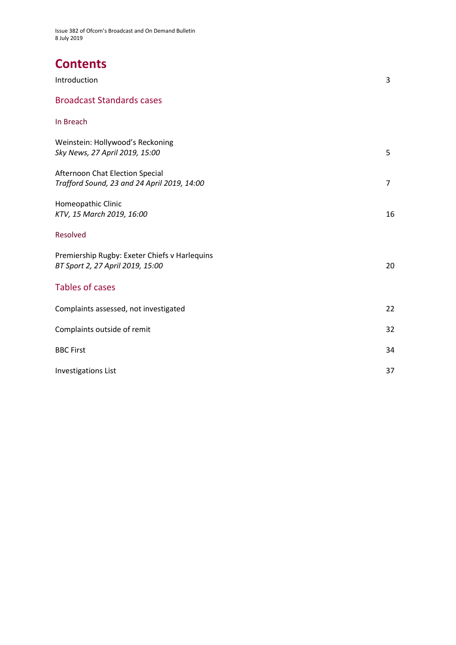# **Contents**

| Introduction                                                                      | 3              |
|-----------------------------------------------------------------------------------|----------------|
| <b>Broadcast Standards cases</b>                                                  |                |
| In Breach                                                                         |                |
| Weinstein: Hollywood's Reckoning<br>Sky News, 27 April 2019, 15:00                | 5              |
| Afternoon Chat Election Special<br>Trafford Sound, 23 and 24 April 2019, 14:00    | $\overline{7}$ |
| Homeopathic Clinic<br>KTV, 15 March 2019, 16:00                                   | 16             |
| Resolved                                                                          |                |
| Premiership Rugby: Exeter Chiefs v Harlequins<br>BT Sport 2, 27 April 2019, 15:00 | 20             |
| <b>Tables of cases</b>                                                            |                |
| Complaints assessed, not investigated                                             | 22             |
| Complaints outside of remit                                                       | 32             |
| <b>BBC First</b>                                                                  | 34             |
| <b>Investigations List</b>                                                        | 37             |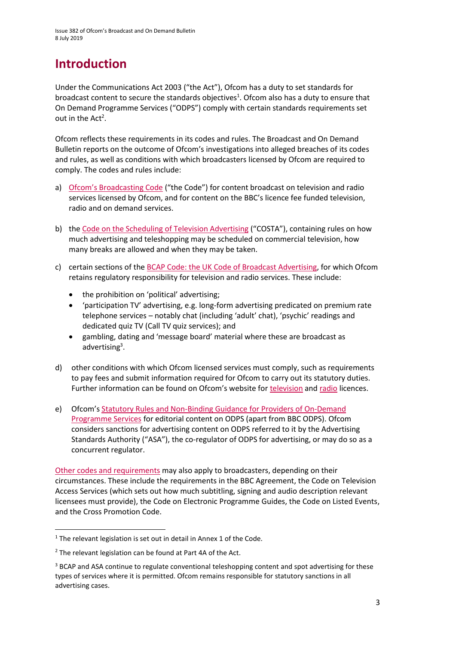# **Introduction**

Under the Communications Act 2003 ("the Act"), Ofcom has a duty to set standards for broadcast content to secure the standards objectives<sup>1</sup>. Ofcom also has a duty to ensure that On Demand Programme Services ("ODPS") comply with certain standards requirements set out in the  $Act^2$ .

Ofcom reflects these requirements in its codes and rules. The Broadcast and On Demand Bulletin reports on the outcome of Ofcom's investigations into alleged breaches of its codes and rules, as well as conditions with which broadcasters licensed by Ofcom are required to comply. The codes and rules include:

- a) [Ofcom's Broadcasting Code](http://stakeholders.ofcom.org.uk/broadcasting/broadcast-codes/broadcast-code/) ("the Code") for content broadcast on television and radio services licensed by Ofcom, and for content on the BBC's licence fee funded television, radio and on demand services.
- b) the [Code on the Scheduling of Television Advertising](https://www.ofcom.org.uk/__data/assets/pdf_file/0014/32162/costa-april-2016.pdf) ("COSTA"), containing rules on how much advertising and teleshopping may be scheduled on commercial television, how many breaks are allowed and when they may be taken.
- c) certain sections of th[e BCAP Code: the UK Code of Broadcast Advertising,](https://www.asa.org.uk/codes-and-rulings/advertising-codes/broadcast-code.html) for which Ofcom retains regulatory responsibility for television and radio services. These include:
	- the prohibition on 'political' advertising;
	- 'participation TV' advertising, e.g. long-form advertising predicated on premium rate telephone services – notably chat (including 'adult' chat), 'psychic' readings and dedicated quiz TV (Call TV quiz services); and
	- gambling, dating and 'message board' material where these are broadcast as advertising<sup>3</sup>.
- d) other conditions with which Ofcom licensed services must comply, such as requirements to pay fees and submit information required for Ofcom to carry out its statutory duties. Further information can be found on Ofcom's website for [television](http://licensing.ofcom.org.uk/tv-broadcast-licences/) and [radio](http://licensing.ofcom.org.uk/radio-broadcast-licensing/) licences.
- e) Ofcom's [Statutory Rules and Non-Binding Guidance for Providers of On-Demand](http://stakeholders.ofcom.org.uk/binaries/broadcast/on-demand/rules-guidance/rules_and_guidance.pdf)  [Programme Services](http://stakeholders.ofcom.org.uk/binaries/broadcast/on-demand/rules-guidance/rules_and_guidance.pdf) for editorial content on ODPS (apart from BBC ODPS). Ofcom considers sanctions for advertising content on ODPS referred to it by the Advertising Standards Authority ("ASA"), the co-regulator of ODPS for advertising, or may do so as a concurrent regulator.

[Other codes and requirements](http://stakeholders.ofcom.org.uk/broadcasting/broadcast-codes/) may also apply to broadcasters, depending on their circumstances. These include the requirements in the BBC Agreement, the Code on Television Access Services (which sets out how much subtitling, signing and audio description relevant licensees must provide), the Code on Electronic Programme Guides, the Code on Listed Events, and the Cross Promotion Code.

**.** 

<sup>&</sup>lt;sup>1</sup> The relevant legislation is set out in detail in Annex 1 of the Code.

<sup>&</sup>lt;sup>2</sup> The relevant legislation can be found at Part 4A of the Act.

<sup>&</sup>lt;sup>3</sup> BCAP and ASA continue to regulate conventional teleshopping content and spot advertising for these types of services where it is permitted. Ofcom remains responsible for statutory sanctions in all advertising cases.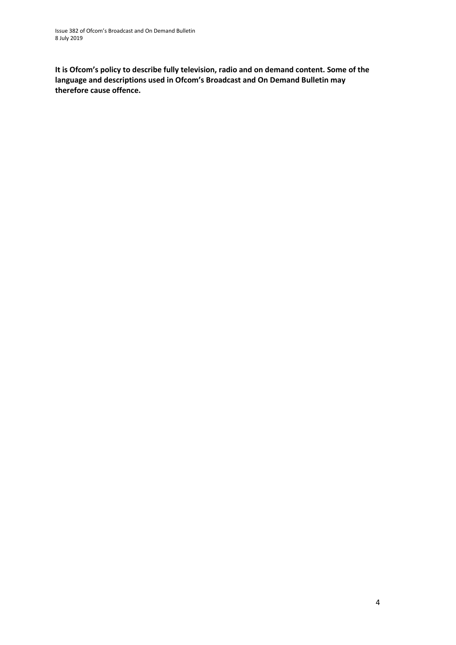**It is Ofcom's policy to describe fully television, radio and on demand content. Some of the language and descriptions used in Ofcom's Broadcast and On Demand Bulletin may therefore cause offence.**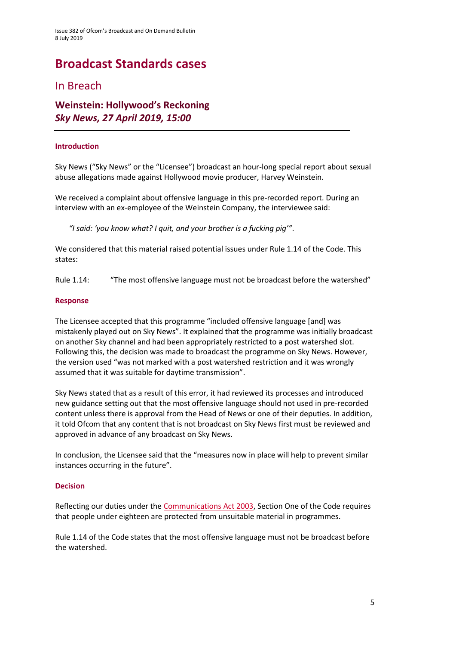# **Broadcast Standards cases**

### In Breach

### **Weinstein: Hollywood's Reckoning** *Sky News, 27 April 2019, 15:00*

#### **Introduction**

Sky News ("Sky News" or the "Licensee") broadcast an hour-long special report about sexual abuse allegations made against Hollywood movie producer, Harvey Weinstein.

We received a complaint about offensive language in this pre-recorded report. During an interview with an ex-employee of the Weinstein Company, the interviewee said:

*"I said: 'you know what? I quit, and your brother is a fucking pig'"*.

We considered that this material raised potential issues under Rule 1.14 of the Code. This states:

Rule 1.14: "The most offensive language must not be broadcast before the watershed"

#### **Response**

The Licensee accepted that this programme "included offensive language [and] was mistakenly played out on Sky News". It explained that the programme was initially broadcast on another Sky channel and had been appropriately restricted to a post watershed slot. Following this, the decision was made to broadcast the programme on Sky News. However, the version used "was not marked with a post watershed restriction and it was wrongly assumed that it was suitable for daytime transmission".

Sky News stated that as a result of this error, it had reviewed its processes and introduced new guidance setting out that the most offensive language should not used in pre-recorded content unless there is approval from the Head of News or one of their deputies. In addition, it told Ofcom that any content that is not broadcast on Sky News first must be reviewed and approved in advance of any broadcast on Sky News.

In conclusion, the Licensee said that the "measures now in place will help to prevent similar instances occurring in the future".

#### **Decision**

Reflecting our duties under th[e Communications Act 2003,](http://www.legislation.gov.uk/ukpga/2003/21/section/319) Section One of the Code requires that people under eighteen are protected from unsuitable material in programmes.

Rule 1.14 of the Code states that the most offensive language must not be broadcast before the watershed.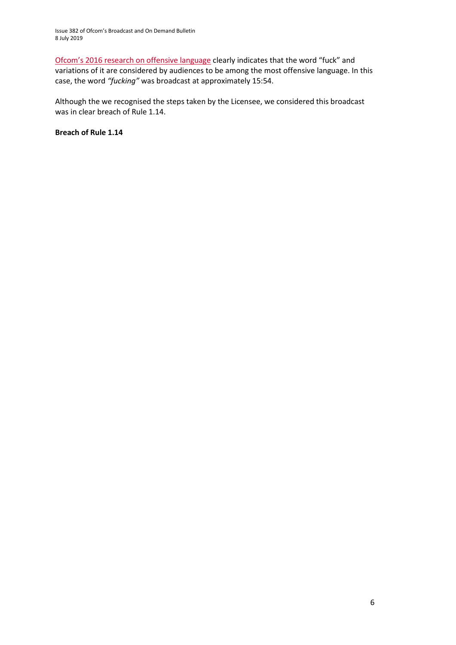[Ofcom's 2016 research on offensive language](https://www.ofcom.org.uk/__data/assets/pdf_file/0022/91624/OfcomOffensiveLanguage.pdf) clearly indicates that the word "fuck" and variations of it are considered by audiences to be among the most offensive language. In this case, the word *"fucking"* was broadcast at approximately 15:54.

Although the we recognised the steps taken by the Licensee, we considered this broadcast was in clear breach of Rule 1.14.

**Breach of Rule 1.14**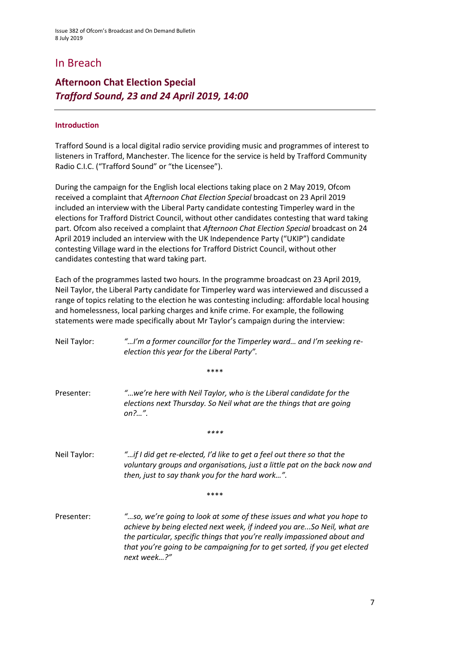# In Breach

# **Afternoon Chat Election Special** *Trafford Sound, 23 and 24 April 2019, 14:00*

#### **Introduction**

Trafford Sound is a local digital radio service providing music and programmes of interest to listeners in Trafford, Manchester. The licence for the service is held by [Trafford Community](javascript:srcUp(%27%2F0015800000ntaxH%3Fisdtp%3Dvw%27);)  [Radio C.I.C.](javascript:srcUp(%27%2F0015800000ntaxH%3Fisdtp%3Dvw%27);) ("Trafford Sound" or "the Licensee").

During the campaign for the English local elections taking place on 2 May 2019, Ofcom received a complaint that *Afternoon Chat Election Special* broadcast on 23 April 2019 included an interview with the Liberal Party candidate contesting Timperley ward in the elections for Trafford District Council, without other candidates contesting that ward taking part. Ofcom also received a complaint that *Afternoon Chat Election Special* broadcast on 24 April 2019 included an interview with the UK Independence Party ("UKIP") candidate contesting Village ward in the elections for Trafford District Council, without other candidates contesting that ward taking part.

Each of the programmes lasted two hours. In the programme broadcast on 23 April 2019, Neil Taylor, the Liberal Party candidate for Timperley ward was interviewed and discussed a range of topics relating to the election he was contesting including: affordable local housing and homelessness, local parking charges and knife crime. For example, the following statements were made specifically about Mr Taylor's campaign during the interview:

| "I'm a former councillor for the Timperley ward and I'm seeking re-<br>Neil Taylor:<br>election this year for the Liberal Party". |                                                                                                                                                                                                                                                                                                                         |
|-----------------------------------------------------------------------------------------------------------------------------------|-------------------------------------------------------------------------------------------------------------------------------------------------------------------------------------------------------------------------------------------------------------------------------------------------------------------------|
|                                                                                                                                   | ****                                                                                                                                                                                                                                                                                                                    |
| Presenter:                                                                                                                        | "we're here with Neil Taylor, who is the Liberal candidate for the<br>elections next Thursday. So Neil what are the things that are going<br>on?".                                                                                                                                                                      |
|                                                                                                                                   | ****                                                                                                                                                                                                                                                                                                                    |
| Neil Taylor:                                                                                                                      | "if I did get re-elected, I'd like to get a feel out there so that the<br>voluntary groups and organisations, just a little pat on the back now and<br>then, just to say thank you for the hard work".                                                                                                                  |
|                                                                                                                                   | ****                                                                                                                                                                                                                                                                                                                    |
| Presenter:                                                                                                                        | "so, we're going to look at some of these issues and what you hope to<br>achieve by being elected next week, if indeed you areSo Neil, what are<br>the particular, specific things that you're really impassioned about and<br>that you're going to be campaigning for to get sorted, if you get elected<br>next week?" |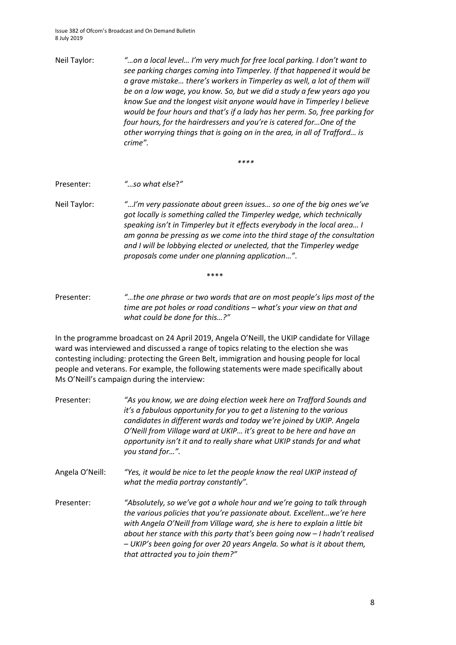Neil Taylor: *"…on a local level… I'm very much for free local parking. I don't want to see parking charges coming into Timperley. If that happened it would be a grave mistake… there's workers in Timperley as well, a lot of them will be on a low wage, you know. So, but we did a study a few years ago you know Sue and the longest visit anyone would have in Timperley I believe would be four hours and that's if a lady has her perm. So, free parking for four hours, for the hairdressers and you're is catered for…One of the other worrying things that is going on in the area, in all of Trafford… is crime".*

*\*\*\*\**

Presenter: *"…so what else*?*"*

Neil Taylor: *"*…*I'm very passionate about green issues… so one of the big ones we've got locally is something called the Timperley wedge, which technically speaking isn't in Timperley but it effects everybody in the local area… I am gonna be pressing as we come into the third stage of the consultation and I will be lobbying elected or unelected, that the Timperley wedge proposals come under one planning application*…*"*.

\*\*\*\*

Presenter: *"…the one phrase or two words that are on most people's lips most of the time are pot holes or road conditions – what's your view on that and what could be done for this…?"*

In the programme broadcast on 24 April 2019, Angela O'Neill, the UKIP candidate for Village ward was interviewed and discussed a range of topics relating to the election she was contesting including: protecting the Green Belt, immigration and housing people for local people and veterans. For example, the following statements were made specifically about Ms O'Neill's campaign during the interview:

- Presenter: *"As you know, we are doing election week here on Trafford Sounds and it's a fabulous opportunity for you to get a listening to the various candidates in different wards and today we're joined by UKIP. Angela O'Neill from Village ward at UKIP… it's great to be here and have an opportunity isn't it and to really share what UKIP stands for and what you stand for…".*
- Angela O'Neill: *"Yes, it would be nice to let the people know the real UKIP instead of what the media portray constantly".*
- Presenter: *"Absolutely, so we've got a whole hour and we're going to talk through the various policies that you're passionate about. Excellent…we're here with Angela O'Neill from Village ward, she is here to explain a little bit about her stance with this party that's been going now – I hadn't realised – UKIP's been going for over 20 years Angela. So what is it about them, that attracted you to join them?"*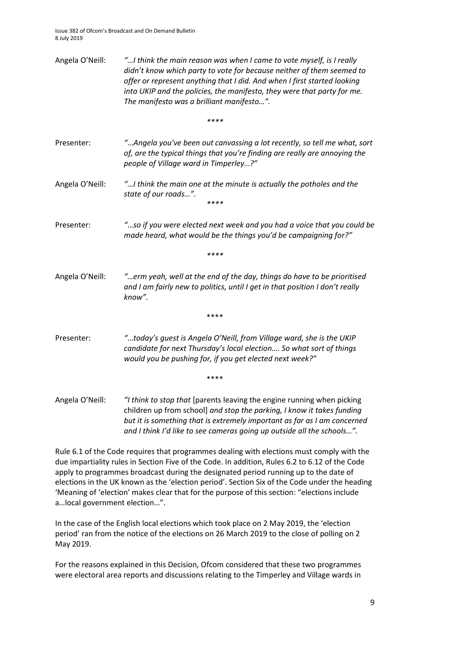| Angela O'Neill: | "I think the main reason was when I came to vote myself, is I really<br>didn't know which party to vote for because neither of them seemed to<br>offer or represent anything that I did. And when I first started looking<br>into UKIP and the policies, the manifesto, they were that party for me.<br>The manifesto was a brilliant manifesto". |  |  |
|-----------------|---------------------------------------------------------------------------------------------------------------------------------------------------------------------------------------------------------------------------------------------------------------------------------------------------------------------------------------------------|--|--|
|                 | ****                                                                                                                                                                                                                                                                                                                                              |  |  |
| Presenter:      | "Angela you've been out canvassing a lot recently, so tell me what, sort<br>of, are the typical things that you're finding are really are annoying the<br>people of Village ward in Timperley?"                                                                                                                                                   |  |  |
| Angela O'Neill: | "I think the main one at the minute is actually the potholes and the<br>state of our roads".<br>****                                                                                                                                                                                                                                              |  |  |
| Presenter:      | "so if you were elected next week and you had a voice that you could be<br>made heard, what would be the things you'd be campaigning for?"                                                                                                                                                                                                        |  |  |
|                 | ****                                                                                                                                                                                                                                                                                                                                              |  |  |
| Angela O'Neill: | "erm yeah, well at the end of the day, things do have to be prioritised<br>and I am fairly new to politics, until I get in that position I don't really<br>know".                                                                                                                                                                                 |  |  |
|                 | ****                                                                                                                                                                                                                                                                                                                                              |  |  |
| Presenter:      | "today's guest is Angela O'Neill, from Village ward, she is the UKIP<br>candidate for next Thursday's local election So what sort of things<br>would you be pushing for, if you get elected next week?"                                                                                                                                           |  |  |
|                 | ****                                                                                                                                                                                                                                                                                                                                              |  |  |
| Angela O'Neill: | "I think to stop that [parents leaving the engine running when picking<br>children up from school] and stop the parking, I know it takes funding<br>but it is something that is extremely important as far as I am concerned<br>and I think I'd like to see cameras going up outside all the schools".                                            |  |  |

Rule 6.1 of the Code requires that programmes dealing with elections must comply with the due impartiality rules in Section Five of the Code. In addition, Rules 6.2 to 6.12 of the Code apply to programmes broadcast during the designated period running up to the date of elections in the UK known as the 'election period'. Section Six of the Code under the heading 'Meaning of 'election' makes clear that for the purpose of this section: "elections include a…local government election…".

In the case of the English local elections which took place on 2 May 2019, the 'election period' ran from the notice of the elections on 26 March 2019 to the close of polling on 2 May 2019.

For the reasons explained in this Decision, Ofcom considered that these two programmes were electoral area reports and discussions relating to the Timperley and Village wards in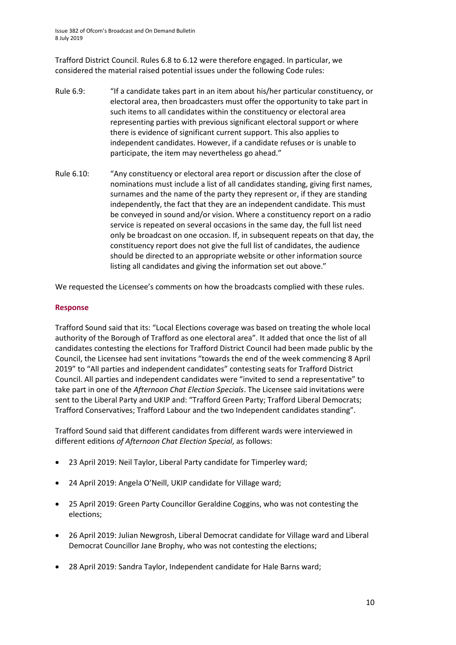Trafford District Council. Rules 6.8 to 6.12 were therefore engaged. In particular, we considered the material raised potential issues under the following Code rules:

- Rule 6.9: "If a candidate takes part in an item about his/her particular constituency, or electoral area, then broadcasters must offer the opportunity to take part in such items to all candidates within the constituency or electoral area representing parties with previous significant electoral support or where there is evidence of significant current support. This also applies to independent candidates. However, if a candidate refuses or is unable to participate, the item may nevertheless go ahead."
- Rule 6.10: "Any constituency or electoral area report or discussion after the close of nominations must include a list of all candidates standing, giving first names, surnames and the name of the party they represent or, if they are standing independently, the fact that they are an independent candidate. This must be conveyed in sound and/or vision. Where a constituency report on a radio service is repeated on several occasions in the same day, the full list need only be broadcast on one occasion. If, in subsequent repeats on that day, the constituency report does not give the full list of candidates, the audience should be directed to an appropriate website or other information source listing all candidates and giving the information set out above."

We requested the Licensee's comments on how the broadcasts complied with these rules.

#### **Response**

Trafford Sound said that its: "Local Elections coverage was based on treating the whole local authority of the Borough of Trafford as one electoral area". It added that once the list of all candidates contesting the elections for Trafford District Council had been made public by the Council, the Licensee had sent invitations "towards the end of the week commencing 8 April 2019" to "All parties and independent candidates" contesting seats for Trafford District Council. All parties and independent candidates were "invited to send a representative" to take part in one of the *Afternoon Chat Election Specials*. The Licensee said invitations were sent to the Liberal Party and UKIP and: "Trafford Green Party; Trafford Liberal Democrats; Trafford Conservatives; Trafford Labour and the two Independent candidates standing".

Trafford Sound said that different candidates from different wards were interviewed in different editions *of Afternoon Chat Election Special*, as follows:

- 23 April 2019: Neil Taylor, Liberal Party candidate for Timperley ward;
- 24 April 2019: Angela O'Neill, UKIP candidate for Village ward;
- 25 April 2019: Green Party Councillor Geraldine Coggins, who was not contesting the elections;
- 26 April 2019: Julian Newgrosh, Liberal Democrat candidate for Village ward and Liberal Democrat Councillor Jane Brophy, who was not contesting the elections;
- 28 April 2019: Sandra Taylor, Independent candidate for Hale Barns ward;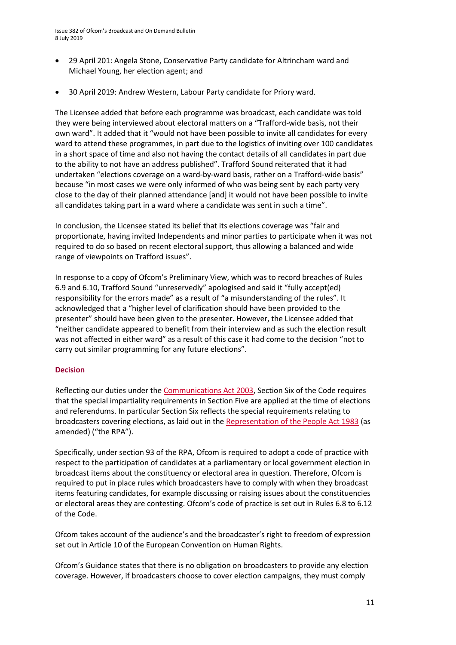- 29 April 201: Angela Stone, Conservative Party candidate for Altrincham ward and Michael Young, her election agent; and
- 30 April 2019: Andrew Western, Labour Party candidate for Priory ward.

The Licensee added that before each programme was broadcast, each candidate was told they were being interviewed about electoral matters on a "Trafford-wide basis, not their own ward". It added that it "would not have been possible to invite all candidates for every ward to attend these programmes, in part due to the logistics of inviting over 100 candidates in a short space of time and also not having the contact details of all candidates in part due to the ability to not have an address published". Trafford Sound reiterated that it had undertaken "elections coverage on a ward-by-ward basis, rather on a Trafford-wide basis" because "in most cases we were only informed of who was being sent by each party very close to the day of their planned attendance [and] it would not have been possible to invite all candidates taking part in a ward where a candidate was sent in such a time".

In conclusion, the Licensee stated its belief that its elections coverage was "fair and proportionate, having invited Independents and minor parties to participate when it was not required to do so based on recent electoral support, thus allowing a balanced and wide range of viewpoints on Trafford issues".

In response to a copy of Ofcom's Preliminary View, which was to record breaches of Rules 6.9 and 6.10, Trafford Sound "unreservedly" apologised and said it "fully accept(ed) responsibility for the errors made" as a result of "a misunderstanding of the rules". It acknowledged that a "higher level of clarification should have been provided to the presenter" should have been given to the presenter. However, the Licensee added that "neither candidate appeared to benefit from their interview and as such the election result was not affected in either ward" as a result of this case it had come to the decision "not to carry out similar programming for any future elections".

#### **Decision**

Reflecting our duties under th[e Communications Act 2003,](http://www.legislation.gov.uk/ukpga/2003/21/section/319) Section Six of the Code requires that the special impartiality requirements in Section Five are applied at the time of elections and referendums. In particular Section Six reflects the special requirements relating to broadcasters covering elections, as laid out in the [Representation of the People Act 1983](http://www.legislation.gov.uk/ukpga/1983/2/section/93) (as amended) ("the RPA").

Specifically, under section 93 of the RPA, Ofcom is required to adopt a code of practice with respect to the participation of candidates at a parliamentary or local government election in broadcast items about the constituency or electoral area in question. Therefore, Ofcom is required to put in place rules which broadcasters have to comply with when they broadcast items featuring candidates, for example discussing or raising issues about the constituencies or electoral areas they are contesting. Ofcom's code of practice is set out in Rules 6.8 to 6.12 of the Code.

Ofcom takes account of the audience's and the broadcaster's right to freedom of expression set out in Article 10 of the European Convention on Human Rights.

Ofcom's Guidance states that there is no obligation on broadcasters to provide any election coverage. However, if broadcasters choose to cover election campaigns, they must comply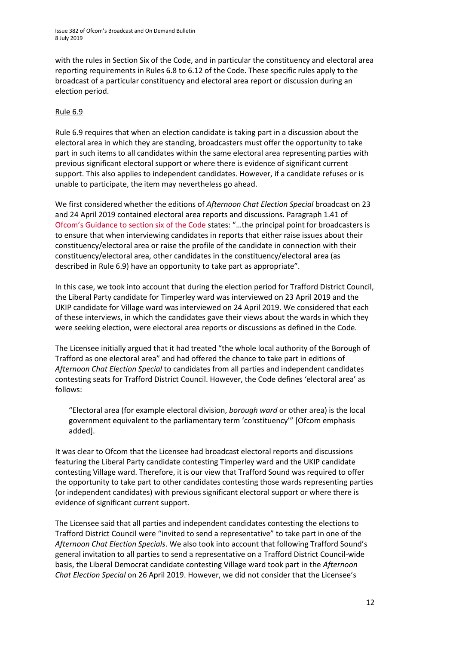with the rules in Section Six of the Code, and in particular the constituency and electoral area reporting requirements in Rules 6.8 to 6.12 of the Code. These specific rules apply to the broadcast of a particular constituency and electoral area report or discussion during an election period.

#### Rule 6.9

Rule 6.9 requires that when an election candidate is taking part in a discussion about the electoral area in which they are standing, broadcasters must offer the opportunity to take part in such items to all candidates within the same electoral area representing parties with previous significant electoral support or where there is evidence of significant current support. This also applies to independent candidates. However, if a candidate refuses or is unable to participate, the item may nevertheless go ahead.

We first considered whether the editions of *Afternoon Chat Election Special* broadcast on 23 and 24 April 2019 contained electoral area reports and discussions. Paragraph 1.41 of Ofcom's Gui[dance to section six of the Code](https://www.ofcom.org.uk/__data/assets/pdf_file/0034/99178/broadcast-code-guidance-section-6-march-2017.pdf) states: "…the principal point for broadcasters is to ensure that when interviewing candidates in reports that either raise issues about their constituency/electoral area or raise the profile of the candidate in connection with their constituency/electoral area, other candidates in the constituency/electoral area (as described in Rule 6.9) have an opportunity to take part as appropriate".

In this case, we took into account that during the election period for Trafford District Council, the Liberal Party candidate for Timperley ward was interviewed on 23 April 2019 and the UKIP candidate for Village ward was interviewed on 24 April 2019. We considered that each of these interviews, in which the candidates gave their views about the wards in which they were seeking election, were electoral area reports or discussions as defined in the Code.

The Licensee initially argued that it had treated "the whole local authority of the Borough of Trafford as one electoral area" and had offered the chance to take part in editions of *Afternoon Chat Election Special* to candidates from all parties and independent candidates contesting seats for Trafford District Council. However, the Code defines 'electoral area' as follows:

"Electoral area (for example electoral division, *borough ward* or other area) is the local government equivalent to the parliamentary term 'constituency'" [Ofcom emphasis added].

It was clear to Ofcom that the Licensee had broadcast electoral reports and discussions featuring the Liberal Party candidate contesting Timperley ward and the UKIP candidate contesting Village ward. Therefore, it is our view that Trafford Sound was required to offer the opportunity to take part to other candidates contesting those wards representing parties (or independent candidates) with previous significant electoral support or where there is evidence of significant current support.

The Licensee said that all parties and independent candidates contesting the elections to Trafford District Council were "invited to send a representative" to take part in one of the *Afternoon Chat Election Specials*. We also took into account that following Trafford Sound's general invitation to all parties to send a representative on a Trafford District Council-wide basis, the Liberal Democrat candidate contesting Village ward took part in the *Afternoon Chat Election Special* on 26 April 2019. However, we did not consider that the Licensee's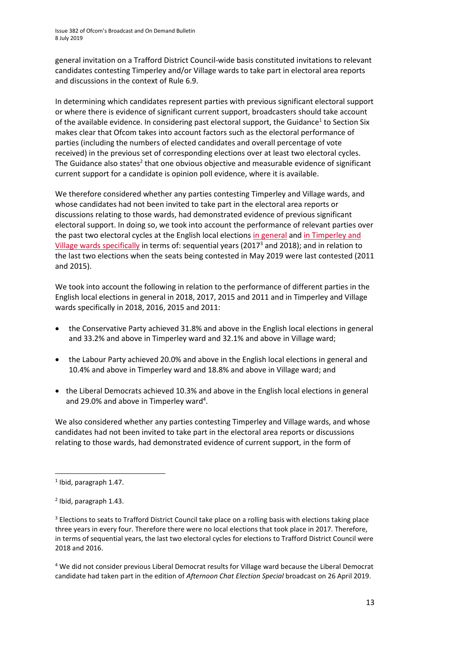general invitation on a Trafford District Council-wide basis constituted invitations to relevant candidates contesting Timperley and/or Village wards to take part in electoral area reports and discussions in the context of Rule 6.9.

In determining which candidates represent parties with previous significant electoral support or where there is evidence of significant current support, broadcasters should take account of the available evidence. In considering past electoral support, the Guidance<sup>1</sup> to Section Six makes clear that Ofcom takes into account factors such as the electoral performance of parties (including the numbers of elected candidates and overall percentage of vote received) in the previous set of corresponding elections over at least two electoral cycles. The Guidance also states<sup>2</sup> that one obvious objective and measurable evidence of significant current support for a candidate is opinion poll evidence, where it is available.

We therefore considered whether any parties contesting Timperley and Village wards, and whose candidates had not been invited to take part in the electoral area reports or discussions relating to those wards, had demonstrated evidence of previous significant electoral support. In doing so, we took into account the performance of relevant parties over the past two electoral cycles at the English local elections [in general](https://www.ofcom.org.uk/__data/assets/pdf_file/0017/112094/evidence-past-current-electoral-support-may-elections-2019.pdf) an[d in Timperley and](https://www.trafford.gov.uk/about-your-council/elections/election-results.aspx)  [Village wards specifically](https://www.trafford.gov.uk/about-your-council/elections/election-results.aspx) in terms of: sequential years (2017<sup>3</sup> and 2018); and in relation to the last two elections when the seats being contested in May 2019 were last contested (2011 and 2015).

We took into account the following in relation to the performance of different parties in the English local elections in general in 2018, 2017, 2015 and 2011 and in Timperley and Village wards specifically in 2018, 2016, 2015 and 2011:

- the Conservative Party achieved 31.8% and above in the English local elections in general and 33.2% and above in Timperley ward and 32.1% and above in Village ward;
- the Labour Party achieved 20.0% and above in the English local elections in general and 10.4% and above in Timperley ward and 18.8% and above in Village ward; and
- the Liberal Democrats achieved 10.3% and above in the English local elections in general and 29.0% and above in Timperley ward<sup>4</sup>.

We also considered whether any parties contesting Timperley and Village wards, and whose candidates had not been invited to take part in the electoral area reports or discussions relating to those wards, had demonstrated evidence of current support, in the form of

**.** 

<sup>4</sup> We did not consider previous Liberal Democrat results for Village ward because the Liberal Democrat candidate had taken part in the edition of *Afternoon Chat Election Special* broadcast on 26 April 2019.

<sup>1</sup> Ibid, paragraph 1.47.

<sup>2</sup> Ibid, paragraph 1.43.

<sup>&</sup>lt;sup>3</sup> Elections to seats to Trafford District Council take place on a rolling basis with elections taking place three years in every four. Therefore there were no local elections that took place in 2017. Therefore, in terms of sequential years, the last two electoral cycles for elections to Trafford District Council were 2018 and 2016.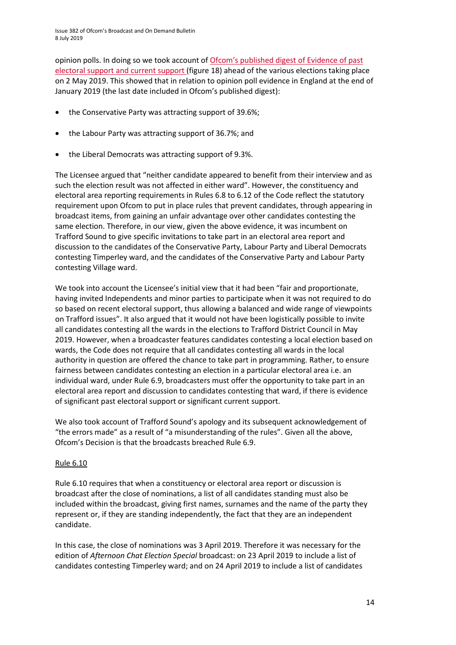opinion polls. In doing so we took account of [Ofcom's published digest of Evidence of past](https://www.ofcom.org.uk/__data/assets/pdf_file/0017/112094/evidence-past-current-electoral-support-may-elections-2019.pdf)  electoral support [and current support](https://www.ofcom.org.uk/__data/assets/pdf_file/0017/112094/evidence-past-current-electoral-support-may-elections-2019.pdf) (figure 18) ahead of the various elections taking place on 2 May 2019. This showed that in relation to opinion poll evidence in England at the end of January 2019 (the last date included in Ofcom's published digest):

- the Conservative Party was attracting support of 39.6%;
- the Labour Party was attracting support of 36.7%; and
- the Liberal Democrats was attracting support of 9.3%.

The Licensee argued that "neither candidate appeared to benefit from their interview and as such the election result was not affected in either ward". However, the constituency and electoral area reporting requirements in Rules 6.8 to 6.12 of the Code reflect the statutory requirement upon Ofcom to put in place rules that prevent candidates, through appearing in broadcast items, from gaining an unfair advantage over other candidates contesting the same election. Therefore, in our view, given the above evidence, it was incumbent on Trafford Sound to give specific invitations to take part in an electoral area report and discussion to the candidates of the Conservative Party, Labour Party and Liberal Democrats contesting Timperley ward, and the candidates of the Conservative Party and Labour Party contesting Village ward.

We took into account the Licensee's initial view that it had been "fair and proportionate, having invited Independents and minor parties to participate when it was not required to do so based on recent electoral support, thus allowing a balanced and wide range of viewpoints on Trafford issues". It also argued that it would not have been logistically possible to invite all candidates contesting all the wards in the elections to Trafford District Council in May 2019. However, when a broadcaster features candidates contesting a local election based on wards, the Code does not require that all candidates contesting all wards in the local authority in question are offered the chance to take part in programming. Rather, to ensure fairness between candidates contesting an election in a particular electoral area i.e. an individual ward, under Rule 6.9, broadcasters must offer the opportunity to take part in an electoral area report and discussion to candidates contesting that ward, if there is evidence of significant past electoral support or significant current support.

We also took account of Trafford Sound's apology and its subsequent acknowledgement of "the errors made" as a result of "a misunderstanding of the rules". Given all the above, Ofcom's Decision is that the broadcasts breached Rule 6.9.

#### Rule 6.10

Rule 6.10 requires that when a constituency or electoral area report or discussion is broadcast after the close of nominations, a list of all candidates standing must also be included within the broadcast, giving first names, surnames and the name of the party they represent or, if they are standing independently, the fact that they are an independent candidate.

In this case, the close of nominations was 3 April 2019. Therefore it was necessary for the edition of *Afternoon Chat Election Special* broadcast: on 23 April 2019 to include a list of candidates contesting Timperley ward; and on 24 April 2019 to include a list of candidates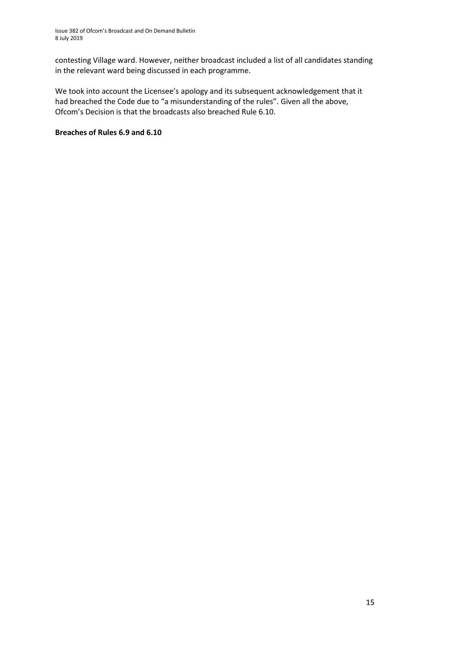contesting Village ward. However, neither broadcast included a list of all candidates standing in the relevant ward being discussed in each programme.

We took into account the Licensee's apology and its subsequent acknowledgement that it had breached the Code due to "a misunderstanding of the rules". Given all the above, Ofcom's Decision is that the broadcasts also breached Rule 6.10.

#### **Breaches of Rules 6.9 and 6.10**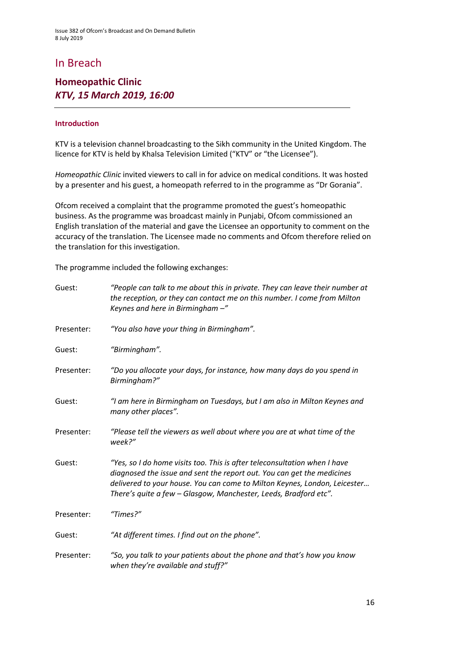# In Breach

### **Homeopathic Clinic** *KTV, 15 March 2019, 16:00*

#### **Introduction**

KTV is a television channel broadcasting to the Sikh community in the United Kingdom. The licence for KTV is held by Khalsa Television Limited ("KTV" or "the Licensee").

*Homeopathic Clinic* invited viewers to call in for advice on medical conditions. It was hosted by a presenter and his guest, a homeopath referred to in the programme as "Dr Gorania".

Ofcom received a complaint that the programme promoted the guest's homeopathic business. As the programme was broadcast mainly in Punjabi, Ofcom commissioned an English translation of the material and gave the Licensee an opportunity to comment on the accuracy of the translation. The Licensee made no comments and Ofcom therefore relied on the translation for this investigation.

The programme included the following exchanges:

| Guest:     | "People can talk to me about this in private. They can leave their number at<br>the reception, or they can contact me on this number. I come from Milton<br>Keynes and here in Birmingham -"                                                                                                         |
|------------|------------------------------------------------------------------------------------------------------------------------------------------------------------------------------------------------------------------------------------------------------------------------------------------------------|
| Presenter: | "You also have your thing in Birmingham".                                                                                                                                                                                                                                                            |
| Guest:     | "Birmingham".                                                                                                                                                                                                                                                                                        |
| Presenter: | "Do you allocate your days, for instance, how many days do you spend in<br>Birmingham?"                                                                                                                                                                                                              |
| Guest:     | "I am here in Birmingham on Tuesdays, but I am also in Milton Keynes and<br>many other places".                                                                                                                                                                                                      |
| Presenter: | "Please tell the viewers as well about where you are at what time of the<br>week?"                                                                                                                                                                                                                   |
| Guest:     | "Yes, so I do home visits too. This is after teleconsultation when I have<br>diagnosed the issue and sent the report out. You can get the medicines<br>delivered to your house. You can come to Milton Keynes, London, Leicester<br>There's quite a few - Glasgow, Manchester, Leeds, Bradford etc". |
| Presenter: | "Times?"                                                                                                                                                                                                                                                                                             |
| Guest:     | "At different times. I find out on the phone".                                                                                                                                                                                                                                                       |
| Presenter: | "So, you talk to your patients about the phone and that's how you know<br>when they're available and stuff?"                                                                                                                                                                                         |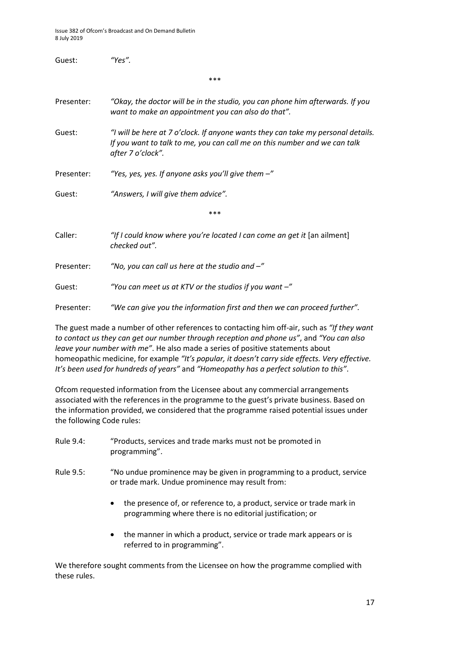| Guest:     | "Yes".                                                                                                                                                                             |
|------------|------------------------------------------------------------------------------------------------------------------------------------------------------------------------------------|
|            | ***                                                                                                                                                                                |
| Presenter: | "Okay, the doctor will be in the studio, you can phone him afterwards. If you<br>want to make an appointment you can also do that".                                                |
| Guest:     | "I will be here at 7 o'clock. If anyone wants they can take my personal details.<br>If you want to talk to me, you can call me on this number and we can talk<br>after 7 o'clock". |
| Presenter: | "Yes, yes, yes. If anyone asks you'll give them $-$ "                                                                                                                              |
| Guest:     | "Answers, I will give them advice".                                                                                                                                                |
|            | ***                                                                                                                                                                                |
| Caller:    | "If I could know where you're located I can come an get it [an ailment]<br>checked out".                                                                                           |
| Presenter: | "No, you can call us here at the studio and $-$ "                                                                                                                                  |
| Guest:     | "You can meet us at KTV or the studios if you want $-$ "                                                                                                                           |
| Presenter: | "We can give you the information first and then we can proceed further".                                                                                                           |

The guest made a number of other references to contacting him off-air, such as *"If they want to contact us they can get our number through reception and phone us"*, and *"You can also leave your number with me"*. He also made a series of positive statements about homeopathic medicine, for example *"It's popular, it doesn't carry side effects. Very effective. It's been used for hundreds of years"* and *"Homeopathy has a perfect solution to this"*.

Ofcom requested information from the Licensee about any commercial arrangements associated with the references in the programme to the guest's private business. Based on the information provided, we considered that the programme raised potential issues under the following Code rules:

- Rule 9.4: "Products, services and trade marks must not be promoted in programming".
- Rule 9.5: "No undue prominence may be given in programming to a product, service or trade mark. Undue prominence may result from:
	- the presence of, or reference to, a product, service or trade mark in programming where there is no editorial justification; or
	- the manner in which a product, service or trade mark appears or is referred to in programming".

We therefore sought comments from the Licensee on how the programme complied with these rules.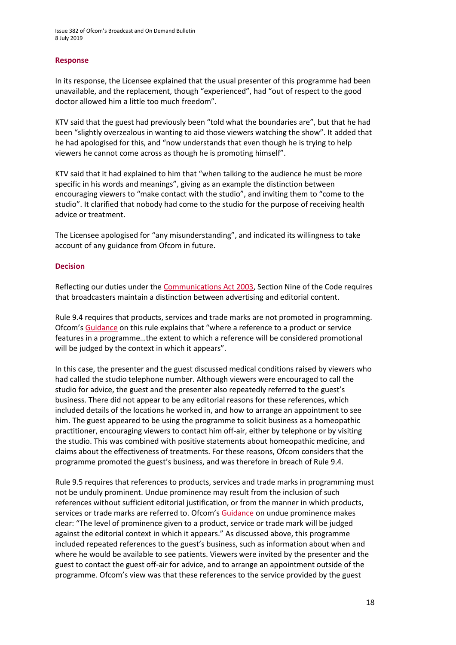#### **Response**

In its response, the Licensee explained that the usual presenter of this programme had been unavailable, and the replacement, though "experienced", had "out of respect to the good doctor allowed him a little too much freedom".

KTV said that the guest had previously been "told what the boundaries are", but that he had been "slightly overzealous in wanting to aid those viewers watching the show". It added that he had apologised for this, and "now understands that even though he is trying to help viewers he cannot come across as though he is promoting himself".

KTV said that it had explained to him that "when talking to the audience he must be more specific in his words and meanings", giving as an example the distinction between encouraging viewers to "make contact with the studio", and inviting them to "come to the studio". It clarified that nobody had come to the studio for the purpose of receiving health advice or treatment.

The Licensee apologised for "any misunderstanding", and indicated its willingness to take account of any guidance from Ofcom in future.

#### **Decision**

Reflecting our duties under th[e Communications Act 2003,](http://www.legislation.gov.uk/ukpga/2003/21/section/319) Section Nine of the Code requires that broadcasters maintain a distinction between advertising and editorial content.

Rule 9.4 requires that products, services and trade marks are not promoted in programming. Ofcom's [Guidance](https://www.ofcom.org.uk/__data/assets/pdf_file/0014/33611/section9_may16.pdf) on this rule explains that "where a reference to a product or service features in a programme…the extent to which a reference will be considered promotional will be judged by the context in which it appears".

In this case, the presenter and the guest discussed medical conditions raised by viewers who had called the studio telephone number. Although viewers were encouraged to call the studio for advice, the guest and the presenter also repeatedly referred to the guest's business. There did not appear to be any editorial reasons for these references, which included details of the locations he worked in, and how to arrange an appointment to see him. The guest appeared to be using the programme to solicit business as a homeopathic practitioner, encouraging viewers to contact him off-air, either by telephone or by visiting the studio. This was combined with positive statements about homeopathic medicine, and claims about the effectiveness of treatments. For these reasons, Ofcom considers that the programme promoted the guest's business, and was therefore in breach of Rule 9.4.

Rule 9.5 requires that references to products, services and trade marks in programming must not be unduly prominent. Undue prominence may result from the inclusion of such references without sufficient editorial justification, or from the manner in which products, services or trade marks are referred to. Ofcom's [Guidance](https://www.ofcom.org.uk/__data/assets/pdf_file/0014/33611/section9_may16.pdf) on undue prominence makes clear: "The level of prominence given to a product, service or trade mark will be judged against the editorial context in which it appears." As discussed above, this programme included repeated references to the guest's business, such as information about when and where he would be available to see patients. Viewers were invited by the presenter and the guest to contact the guest off-air for advice, and to arrange an appointment outside of the programme. Ofcom's view was that these references to the service provided by the guest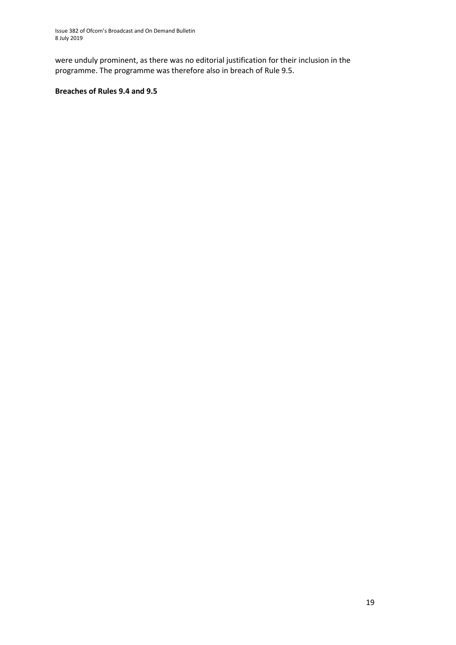were unduly prominent, as there was no editorial justification for their inclusion in the programme. The programme was therefore also in breach of Rule 9.5.

#### **Breaches of Rules 9.4 and 9.5**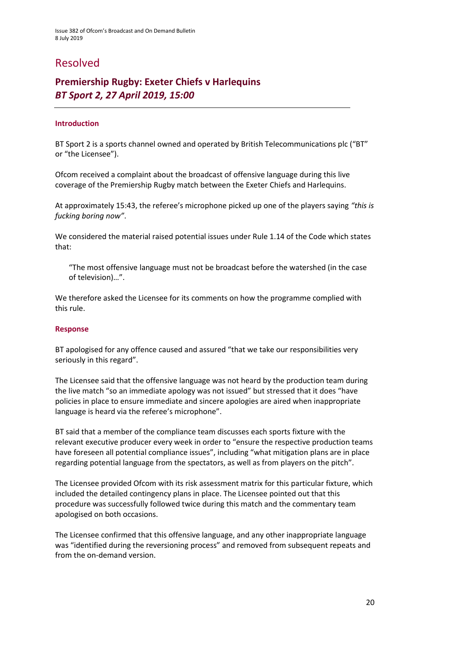# Resolved

## **Premiership Rugby: Exeter Chiefs v Harlequins** *BT Sport 2, 27 April 2019, 15:00*

#### **Introduction**

BT Sport 2 is a sports channel owned and operated by British Telecommunications plc ("BT" or "the Licensee").

Ofcom received a complaint about the broadcast of offensive language during this live coverage of the Premiership Rugby match between the Exeter Chiefs and Harlequins.

At approximately 15:43, the referee's microphone picked up one of the players saying *"this is fucking boring now"*.

We considered the material raised potential issues under Rule 1.14 of the Code which states that:

"The most offensive language must not be broadcast before the watershed (in the case of television)…".

We therefore asked the Licensee for its comments on how the programme complied with this rule.

#### **Response**

BT apologised for any offence caused and assured "that we take our responsibilities very seriously in this regard".

The Licensee said that the offensive language was not heard by the production team during the live match "so an immediate apology was not issued" but stressed that it does "have policies in place to ensure immediate and sincere apologies are aired when inappropriate language is heard via the referee's microphone".

BT said that a member of the compliance team discusses each sports fixture with the relevant executive producer every week in order to "ensure the respective production teams have foreseen all potential compliance issues", including "what mitigation plans are in place regarding potential language from the spectators, as well as from players on the pitch".

The Licensee provided Ofcom with its risk assessment matrix for this particular fixture, which included the detailed contingency plans in place. The Licensee pointed out that this procedure was successfully followed twice during this match and the commentary team apologised on both occasions.

The Licensee confirmed that this offensive language, and any other inappropriate language was "identified during the reversioning process" and removed from subsequent repeats and from the on-demand version.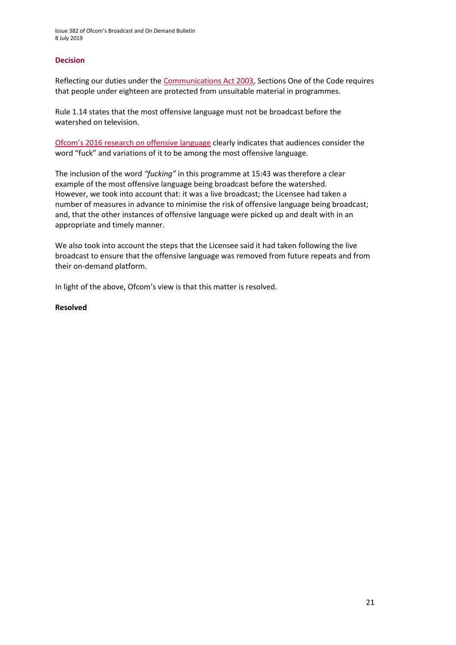#### **Decision**

Reflecting our duties under th[e Communications Act 2003,](https://www.legislation.gov.uk/ukpga/2003/21/section/319) Sections One of the Code requires that people under eighteen are protected from unsuitable material in programmes.

Rule 1.14 states that the most offensive language must not be broadcast before the watershed on television.

[Ofcom's 2016 research on offensive language](https://www.ofcom.org.uk/__data/assets/pdf_file/0022/91624/OfcomOffensiveLanguage.pdf) clearly indicates that audiences consider the word "fuck" and variations of it to be among the most offensive language.

The inclusion of the word *"fucking"* in this programme at 15:43 was therefore a clear example of the most offensive language being broadcast before the watershed. However, we took into account that: it was a live broadcast; the Licensee had taken a number of measures in advance to minimise the risk of offensive language being broadcast; and, that the other instances of offensive language were picked up and dealt with in an appropriate and timely manner.

We also took into account the steps that the Licensee said it had taken following the live broadcast to ensure that the offensive language was removed from future repeats and from their on-demand platform.

In light of the above, Ofcom's view is that this matter is resolved.

#### **Resolved**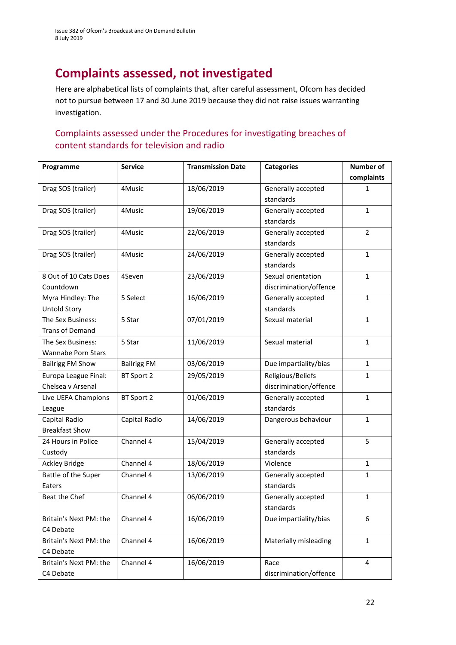# **Complaints assessed, not investigated**

Here are alphabetical lists of complaints that, after careful assessment, Ofcom has decided not to pursue between 17 and 30 June 2019 because they did not raise issues warranting investigation.

### Complaints assessed under the Procedures for investigating breaches of content standards for television and radio

| Programme                 | <b>Service</b>     | <b>Transmission Date</b> | <b>Categories</b>      | <b>Number of</b> |
|---------------------------|--------------------|--------------------------|------------------------|------------------|
|                           |                    |                          |                        | complaints       |
| Drag SOS (trailer)        | 4Music             | 18/06/2019               | Generally accepted     | 1                |
|                           |                    |                          | standards              |                  |
| Drag SOS (trailer)        | 4Music             | 19/06/2019               | Generally accepted     | $\mathbf{1}$     |
|                           |                    |                          | standards              |                  |
| Drag SOS (trailer)        | 4Music             | 22/06/2019               | Generally accepted     | $\overline{2}$   |
|                           |                    |                          | standards              |                  |
| Drag SOS (trailer)        | 4Music             | 24/06/2019               | Generally accepted     | $\mathbf{1}$     |
|                           |                    |                          | standards              |                  |
| 8 Out of 10 Cats Does     | 4Seven             | 23/06/2019               | Sexual orientation     | $\mathbf{1}$     |
| Countdown                 |                    |                          | discrimination/offence |                  |
| Myra Hindley: The         | 5 Select           | 16/06/2019               | Generally accepted     | $\mathbf{1}$     |
| <b>Untold Story</b>       |                    |                          | standards              |                  |
| The Sex Business:         | 5 Star             | 07/01/2019               | Sexual material        | $\mathbf{1}$     |
| <b>Trans of Demand</b>    |                    |                          |                        |                  |
| The Sex Business:         | 5 Star             | 11/06/2019               | Sexual material        | $\mathbf{1}$     |
| <b>Wannabe Porn Stars</b> |                    |                          |                        |                  |
| <b>Bailrigg FM Show</b>   | <b>Bailrigg FM</b> | 03/06/2019               | Due impartiality/bias  | $\mathbf{1}$     |
| Europa League Final:      | BT Sport 2         | 29/05/2019               | Religious/Beliefs      | $\mathbf{1}$     |
| Chelsea v Arsenal         |                    |                          | discrimination/offence |                  |
| Live UEFA Champions       | BT Sport 2         | 01/06/2019               | Generally accepted     | $\mathbf{1}$     |
| League                    |                    |                          | standards              |                  |
| Capital Radio             | Capital Radio      | 14/06/2019               | Dangerous behaviour    | $\mathbf{1}$     |
| <b>Breakfast Show</b>     |                    |                          |                        |                  |
| 24 Hours in Police        | Channel 4          | 15/04/2019               | Generally accepted     | 5                |
| Custody                   |                    |                          | standards              |                  |
| <b>Ackley Bridge</b>      | Channel 4          | 18/06/2019               | Violence               | $\mathbf{1}$     |
| Battle of the Super       | Channel 4          | 13/06/2019               | Generally accepted     | 1                |
| Eaters                    |                    |                          | standards              |                  |
| Beat the Chef             | Channel 4          | 06/06/2019               | Generally accepted     | $\mathbf 1$      |
|                           |                    |                          | standards              |                  |
| Britain's Next PM: the    | Channel 4          | 16/06/2019               | Due impartiality/bias  | 6                |
| C4 Debate                 |                    |                          |                        |                  |
| Britain's Next PM: the    | Channel 4          | 16/06/2019               | Materially misleading  | $\mathbf{1}$     |
| C4 Debate                 |                    |                          |                        |                  |
| Britain's Next PM: the    | Channel 4          | 16/06/2019               | Race                   | $\overline{4}$   |
| C4 Debate                 |                    |                          | discrimination/offence |                  |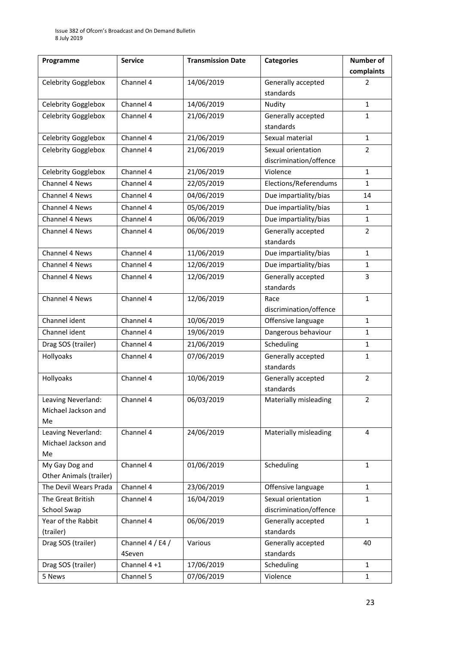| Programme                      | <b>Service</b>   | <b>Transmission Date</b> | <b>Categories</b>      | <b>Number of</b> |
|--------------------------------|------------------|--------------------------|------------------------|------------------|
|                                |                  |                          |                        | complaints       |
| Celebrity Gogglebox            | Channel 4        | 14/06/2019               | Generally accepted     | 2                |
|                                |                  |                          | standards              |                  |
| Celebrity Gogglebox            | Channel 4        | 14/06/2019               | Nudity                 | $\mathbf{1}$     |
| Celebrity Gogglebox            | Channel 4        | 21/06/2019               | Generally accepted     | 1                |
|                                |                  |                          | standards              |                  |
| Celebrity Gogglebox            | Channel 4        | 21/06/2019               | Sexual material        | $\mathbf{1}$     |
| Celebrity Gogglebox            | Channel 4        | 21/06/2019               | Sexual orientation     | $\overline{2}$   |
|                                |                  |                          | discrimination/offence |                  |
| Celebrity Gogglebox            | Channel 4        | 21/06/2019               | Violence               | $\mathbf{1}$     |
| Channel 4 News                 | Channel 4        | 22/05/2019               | Elections/Referendums  | $\mathbf{1}$     |
| Channel 4 News                 | Channel 4        | 04/06/2019               | Due impartiality/bias  | 14               |
| Channel 4 News                 | Channel 4        | 05/06/2019               | Due impartiality/bias  | $\mathbf{1}$     |
| Channel 4 News                 | Channel 4        | 06/06/2019               | Due impartiality/bias  | $\mathbf{1}$     |
| <b>Channel 4 News</b>          | Channel 4        | 06/06/2019               | Generally accepted     | $\overline{2}$   |
|                                |                  |                          | standards              |                  |
| Channel 4 News                 | Channel 4        | 11/06/2019               | Due impartiality/bias  | $\mathbf{1}$     |
| Channel 4 News                 | Channel 4        | 12/06/2019               | Due impartiality/bias  | $\mathbf{1}$     |
| Channel 4 News                 | Channel 4        | 12/06/2019               | Generally accepted     | 3                |
|                                |                  |                          | standards              |                  |
| Channel 4 News                 | Channel 4        | 12/06/2019               | Race                   | $\mathbf{1}$     |
|                                |                  |                          | discrimination/offence |                  |
| Channel ident                  | Channel 4        | 10/06/2019               | Offensive language     | $\mathbf{1}$     |
| Channel ident                  | Channel 4        | 19/06/2019               | Dangerous behaviour    | $\mathbf{1}$     |
| Drag SOS (trailer)             | Channel 4        | 21/06/2019               | Scheduling             | $\mathbf{1}$     |
| Hollyoaks                      | Channel 4        | 07/06/2019               | Generally accepted     | $\mathbf{1}$     |
|                                |                  |                          | standards              |                  |
| Hollyoaks                      | Channel 4        | 10/06/2019               | Generally accepted     | $\overline{2}$   |
|                                |                  |                          | standards              |                  |
| Leaving Neverland:             | Channel 4        | 06/03/2019               | Materially misleading  | 2                |
| Michael Jackson and            |                  |                          |                        |                  |
| Me                             |                  |                          |                        |                  |
| Leaving Neverland:             | Channel 4        | 24/06/2019               | Materially misleading  | 4                |
| Michael Jackson and            |                  |                          |                        |                  |
| Me                             |                  |                          |                        |                  |
| My Gay Dog and                 | Channel 4        | 01/06/2019               | Scheduling             | $\mathbf{1}$     |
| <b>Other Animals (trailer)</b> |                  |                          |                        |                  |
| The Devil Wears Prada          | Channel 4        | 23/06/2019               | Offensive language     | $\mathbf{1}$     |
| The Great British              | Channel 4        | 16/04/2019               | Sexual orientation     | $\mathbf{1}$     |
| School Swap                    |                  |                          | discrimination/offence |                  |
| Year of the Rabbit             | Channel 4        | 06/06/2019               | Generally accepted     | $\mathbf{1}$     |
| (trailer)                      |                  |                          | standards              |                  |
| Drag SOS (trailer)             | Channel 4 / E4 / | Various                  | Generally accepted     | 40               |
|                                | 4Seven           |                          | standards              |                  |
| Drag SOS (trailer)             | Channel 4+1      | 17/06/2019               | Scheduling             | $\mathbf{1}$     |
| 5 News                         | Channel 5        | 07/06/2019               | Violence               | $\mathbf{1}$     |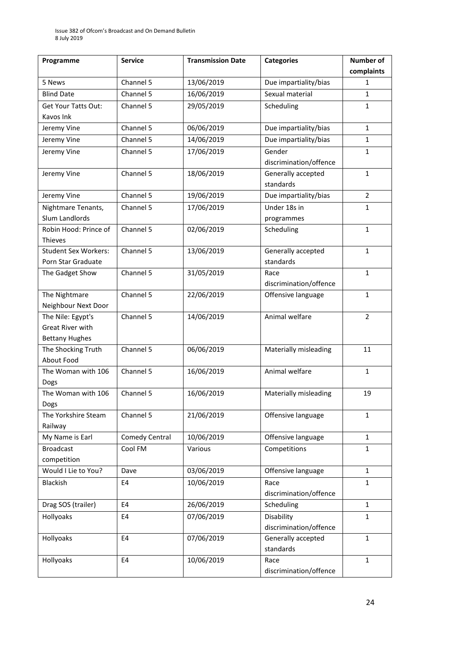| Programme                                   | <b>Service</b>         | <b>Transmission Date</b> | <b>Categories</b>      | <b>Number of</b> |
|---------------------------------------------|------------------------|--------------------------|------------------------|------------------|
|                                             |                        |                          |                        | complaints       |
| 5 News                                      | Channel 5              | 13/06/2019               | Due impartiality/bias  | 1                |
| <b>Blind Date</b>                           | Channel 5              | 16/06/2019               | Sexual material        | $\mathbf{1}$     |
| Get Your Tatts Out:                         | Channel 5              | 29/05/2019               | Scheduling             | $\mathbf{1}$     |
| Kavos Ink                                   |                        |                          |                        |                  |
| Jeremy Vine                                 | Channel 5              | 06/06/2019               | Due impartiality/bias  | $\mathbf{1}$     |
| Jeremy Vine                                 | Channel 5              | 14/06/2019               | Due impartiality/bias  | $\mathbf{1}$     |
| Jeremy Vine                                 | Channel 5              | 17/06/2019               | Gender                 | $\mathbf{1}$     |
|                                             |                        |                          | discrimination/offence |                  |
| Jeremy Vine                                 | Channel 5              | 18/06/2019               | Generally accepted     | $\mathbf{1}$     |
|                                             |                        |                          | standards              |                  |
| Jeremy Vine                                 | Channel 5              | 19/06/2019               | Due impartiality/bias  | $\overline{2}$   |
| Nightmare Tenants,                          | Channel 5              | 17/06/2019               | Under 18s in           | $\mathbf{1}$     |
| Slum Landlords                              |                        |                          | programmes             |                  |
| Robin Hood: Prince of                       | Channel 5              | 02/06/2019               | Scheduling             | $\mathbf 1$      |
| Thieves                                     |                        |                          |                        |                  |
| <b>Student Sex Workers:</b>                 | Channel 5              | 13/06/2019               | Generally accepted     | $\mathbf{1}$     |
| Porn Star Graduate                          |                        |                          | standards              |                  |
| The Gadget Show                             | Channel 5              | 31/05/2019               | Race                   | $\mathbf{1}$     |
|                                             |                        |                          | discrimination/offence |                  |
| The Nightmare                               | Channel 5              | 22/06/2019               | Offensive language     | $\mathbf{1}$     |
| Neighbour Next Door                         |                        |                          |                        |                  |
| The Nile: Egypt's                           | Channel $\overline{5}$ | 14/06/2019               | Animal welfare         | $\overline{2}$   |
| Great River with                            |                        |                          |                        |                  |
| <b>Bettany Hughes</b><br>The Shocking Truth | Channel 5              | 06/06/2019               | Materially misleading  | 11               |
| About Food                                  |                        |                          |                        |                  |
| The Woman with 106                          | Channel 5              | 16/06/2019               | Animal welfare         | $\mathbf{1}$     |
| Dogs                                        |                        |                          |                        |                  |
| The Woman with 106                          | Channel 5              | 16/06/2019               | Materially misleading  | 19               |
| Dogs                                        |                        |                          |                        |                  |
| The Yorkshire Steam                         | Channel 5              | 21/06/2019               | Offensive language     | $\mathbf{1}$     |
| Railway                                     |                        |                          |                        |                  |
| My Name is Earl                             | Comedy Central         | 10/06/2019               | Offensive language     | $\mathbf{1}$     |
| <b>Broadcast</b>                            | Cool FM                | Various                  | Competitions           | 1                |
| competition                                 |                        |                          |                        |                  |
| Would I Lie to You?                         | Dave                   | 03/06/2019               | Offensive language     | $\mathbf{1}$     |
| Blackish                                    | E4                     | 10/06/2019               | Race                   | $\mathbf{1}$     |
|                                             |                        |                          | discrimination/offence |                  |
| Drag SOS (trailer)                          | E4                     | 26/06/2019               | Scheduling             | $\mathbf{1}$     |
| Hollyoaks                                   | E4                     | 07/06/2019               | Disability             | $\mathbf{1}$     |
|                                             |                        |                          | discrimination/offence |                  |
| Hollyoaks                                   | E <sub>4</sub>         | 07/06/2019               | Generally accepted     | $\mathbf{1}$     |
|                                             |                        |                          | standards              |                  |
| Hollyoaks                                   | E <sub>4</sub>         | 10/06/2019               | Race                   | $\mathbf{1}$     |
|                                             |                        |                          | discrimination/offence |                  |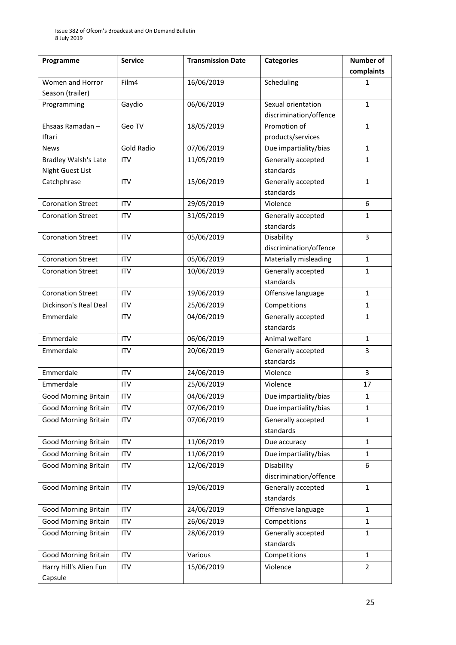| Programme                   | <b>Service</b>    | <b>Transmission Date</b> | <b>Categories</b>      | Number of      |
|-----------------------------|-------------------|--------------------------|------------------------|----------------|
|                             |                   |                          |                        | complaints     |
| Women and Horror            | Film4             | 16/06/2019               | Scheduling             | 1              |
| Season (trailer)            |                   |                          |                        |                |
| Programming                 | Gaydio            | 06/06/2019               | Sexual orientation     | $\mathbf{1}$   |
|                             |                   |                          | discrimination/offence |                |
| Ehsaas Ramadan -            | Geo TV            | 18/05/2019               | Promotion of           | $\mathbf{1}$   |
| Iftari                      |                   |                          | products/services      |                |
| <b>News</b>                 | <b>Gold Radio</b> | 07/06/2019               | Due impartiality/bias  | $\mathbf{1}$   |
| <b>Bradley Walsh's Late</b> | <b>ITV</b>        | 11/05/2019               | Generally accepted     | $\mathbf{1}$   |
| Night Guest List            |                   |                          | standards              |                |
| Catchphrase                 | <b>ITV</b>        | 15/06/2019               | Generally accepted     | $\mathbf{1}$   |
|                             |                   |                          | standards              |                |
| <b>Coronation Street</b>    | <b>ITV</b>        | 29/05/2019               | Violence               | 6              |
| <b>Coronation Street</b>    | <b>ITV</b>        | 31/05/2019               | Generally accepted     | 1              |
|                             |                   |                          | standards              |                |
| <b>Coronation Street</b>    | <b>ITV</b>        | 05/06/2019               | Disability             | 3              |
|                             |                   |                          | discrimination/offence |                |
| <b>Coronation Street</b>    | <b>ITV</b>        | 05/06/2019               | Materially misleading  | $\mathbf{1}$   |
| <b>Coronation Street</b>    | <b>ITV</b>        | 10/06/2019               | Generally accepted     | $\mathbf{1}$   |
|                             |                   |                          | standards              |                |
| <b>Coronation Street</b>    | <b>ITV</b>        | 19/06/2019               | Offensive language     | $\mathbf{1}$   |
| Dickinson's Real Deal       | <b>ITV</b>        | 25/06/2019               | Competitions           | $\mathbf{1}$   |
| Emmerdale                   | <b>ITV</b>        | 04/06/2019               | Generally accepted     | $\mathbf{1}$   |
|                             |                   |                          | standards              |                |
| Emmerdale                   | <b>ITV</b>        | 06/06/2019               | Animal welfare         | $\mathbf{1}$   |
| Emmerdale                   | <b>ITV</b>        | 20/06/2019               | Generally accepted     | 3              |
|                             |                   |                          | standards              |                |
| Emmerdale                   | <b>ITV</b>        | 24/06/2019               | Violence               | 3              |
| Emmerdale                   | <b>ITV</b>        | 25/06/2019               | Violence               | 17             |
| <b>Good Morning Britain</b> | ITV               | 04/06/2019               | Due impartiality/bias  | 1              |
| <b>Good Morning Britain</b> | <b>ITV</b>        | 07/06/2019               | Due impartiality/bias  | 1              |
| <b>Good Morning Britain</b> | <b>ITV</b>        | 07/06/2019               | Generally accepted     | $\mathbf{1}$   |
|                             |                   |                          | standards              |                |
| <b>Good Morning Britain</b> | <b>ITV</b>        | 11/06/2019               | Due accuracy           | $\mathbf{1}$   |
| <b>Good Morning Britain</b> | ITV               | 11/06/2019               | Due impartiality/bias  | $\mathbf{1}$   |
| <b>Good Morning Britain</b> | ITV               | 12/06/2019               | Disability             | 6              |
|                             |                   |                          | discrimination/offence |                |
| <b>Good Morning Britain</b> | ITV               | 19/06/2019               | Generally accepted     | $\mathbf{1}$   |
|                             |                   |                          | standards              |                |
| <b>Good Morning Britain</b> | <b>ITV</b>        | 24/06/2019               | Offensive language     | $\mathbf{1}$   |
| <b>Good Morning Britain</b> | ITV               | 26/06/2019               | Competitions           | $\mathbf{1}$   |
| <b>Good Morning Britain</b> | ITV               | 28/06/2019               | Generally accepted     | $\mathbf{1}$   |
|                             |                   |                          | standards              |                |
| <b>Good Morning Britain</b> | <b>ITV</b>        | Various                  | Competitions           | $\mathbf{1}$   |
| Harry Hill's Alien Fun      | <b>ITV</b>        | 15/06/2019               | Violence               | $\overline{2}$ |
| Capsule                     |                   |                          |                        |                |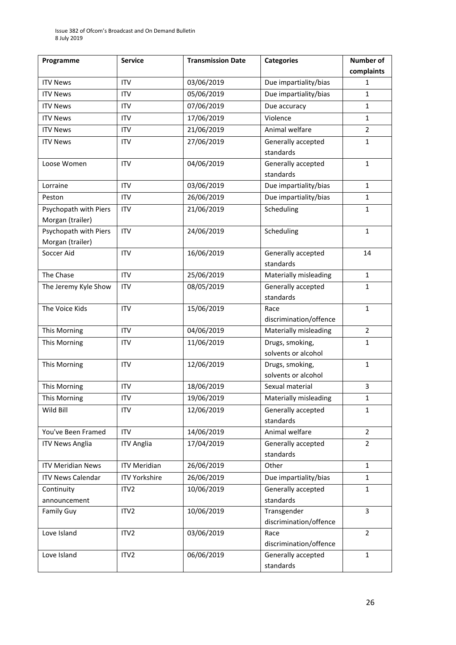| Programme                  | <b>Service</b>       | <b>Transmission Date</b> | <b>Categories</b>                      | Number of      |
|----------------------------|----------------------|--------------------------|----------------------------------------|----------------|
|                            |                      |                          |                                        | complaints     |
| <b>ITV News</b>            | <b>ITV</b>           | 03/06/2019               | Due impartiality/bias                  | 1              |
| <b>ITV News</b>            | <b>ITV</b>           | 05/06/2019               | Due impartiality/bias                  | $\mathbf{1}$   |
| <b>ITV News</b>            | <b>ITV</b>           | 07/06/2019               | Due accuracy                           | $\mathbf{1}$   |
| <b>ITV News</b>            | <b>ITV</b>           | 17/06/2019               | Violence                               | $\mathbf{1}$   |
| <b>ITV News</b>            | <b>ITV</b>           | 21/06/2019               | Animal welfare                         | $\overline{2}$ |
| <b>ITV News</b>            | <b>ITV</b>           | 27/06/2019               | Generally accepted                     | $\mathbf{1}$   |
|                            |                      |                          | standards                              |                |
| Loose Women                | <b>ITV</b>           | 04/06/2019               | Generally accepted                     | $\mathbf{1}$   |
|                            |                      |                          | standards                              |                |
| Lorraine                   | <b>ITV</b>           | 03/06/2019               | Due impartiality/bias                  | $\mathbf{1}$   |
| Peston                     | <b>ITV</b>           | 26/06/2019               | Due impartiality/bias                  | $\mathbf{1}$   |
| Psychopath with Piers      | <b>ITV</b>           | 21/06/2019               | Scheduling                             | $\mathbf{1}$   |
| Morgan (trailer)           |                      |                          |                                        |                |
| Psychopath with Piers      | <b>ITV</b>           | 24/06/2019               | Scheduling                             | $\mathbf{1}$   |
| Morgan (trailer)           |                      |                          |                                        |                |
| Soccer Aid                 | <b>ITV</b>           | 16/06/2019               | Generally accepted                     | 14             |
|                            |                      |                          | standards                              |                |
| The Chase                  | <b>ITV</b>           | 25/06/2019               | Materially misleading                  | $\mathbf{1}$   |
| The Jeremy Kyle Show       | <b>ITV</b>           | 08/05/2019               | Generally accepted                     | $\mathbf{1}$   |
|                            |                      |                          | standards                              |                |
| The Voice Kids             | <b>ITV</b>           | 15/06/2019               | Race                                   | $\mathbf{1}$   |
|                            |                      |                          | discrimination/offence                 |                |
| This Morning               | <b>ITV</b>           | 04/06/2019               | Materially misleading                  | $\overline{2}$ |
| This Morning               | <b>ITV</b>           | 11/06/2019               | Drugs, smoking,                        | $\mathbf{1}$   |
|                            |                      |                          | solvents or alcohol                    |                |
| This Morning               | <b>ITV</b>           | 12/06/2019               | Drugs, smoking,                        | $\mathbf{1}$   |
| This Morning               | <b>ITV</b>           | 18/06/2019               | solvents or alcohol<br>Sexual material | 3              |
|                            | <b>ITV</b>           |                          |                                        |                |
| This Morning               |                      | 19/06/2019               | Materially misleading                  | $\mathbf 1$    |
| Wild Bill                  | <b>ITV</b>           | 12/06/2019               | Generally accepted<br>standards        | 1              |
| You've Been Framed         | <b>ITV</b>           | 14/06/2019               | Animal welfare                         | $\overline{2}$ |
|                            | <b>ITV Anglia</b>    | 17/04/2019               | Generally accepted                     | $\overline{2}$ |
| <b>ITV News Anglia</b>     |                      |                          | standards                              |                |
| <b>ITV Meridian News</b>   | <b>ITV Meridian</b>  | 26/06/2019               | Other                                  | $\mathbf{1}$   |
| <b>ITV News Calendar</b>   | <b>ITV Yorkshire</b> | 26/06/2019               | Due impartiality/bias                  | $\mathbf{1}$   |
|                            | ITV <sub>2</sub>     | 10/06/2019               | Generally accepted                     | $\mathbf{1}$   |
| Continuity<br>announcement |                      |                          | standards                              |                |
| <b>Family Guy</b>          | ITV <sub>2</sub>     | 10/06/2019               | Transgender                            | $\overline{3}$ |
|                            |                      |                          | discrimination/offence                 |                |
| Love Island                | ITV <sub>2</sub>     | 03/06/2019               | Race                                   | $\overline{2}$ |
|                            |                      |                          | discrimination/offence                 |                |
| Love Island                | ITV <sub>2</sub>     | 06/06/2019               | Generally accepted                     | $\mathbf{1}$   |
|                            |                      |                          | standards                              |                |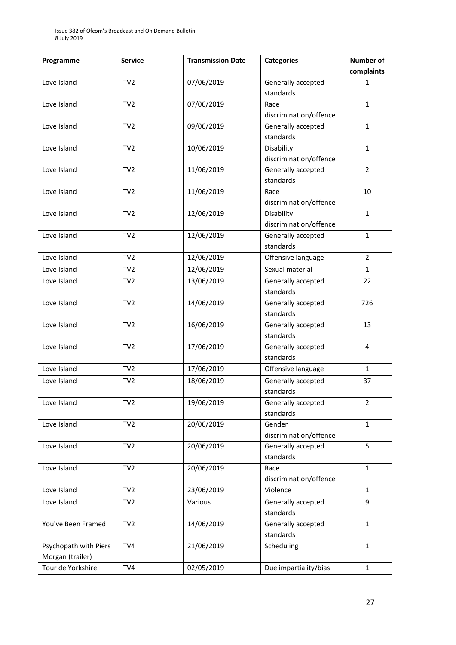| Programme             | <b>Service</b>   | <b>Transmission Date</b> | <b>Categories</b>               | <b>Number of</b> |
|-----------------------|------------------|--------------------------|---------------------------------|------------------|
|                       |                  |                          |                                 | complaints       |
| Love Island           | ITV <sub>2</sub> | 07/06/2019               | Generally accepted              | 1                |
|                       |                  |                          | standards                       |                  |
| Love Island           | ITV <sub>2</sub> | 07/06/2019               | Race                            | $\mathbf{1}$     |
|                       |                  |                          | discrimination/offence          |                  |
| Love Island           | ITV <sub>2</sub> | 09/06/2019               | Generally accepted              | $\mathbf{1}$     |
|                       |                  |                          | standards                       |                  |
| Love Island           | ITV <sub>2</sub> | 10/06/2019               | Disability                      | $\mathbf{1}$     |
|                       |                  |                          | discrimination/offence          |                  |
| Love Island           | ITV <sub>2</sub> | 11/06/2019               | Generally accepted              | $\overline{2}$   |
|                       |                  |                          | standards                       |                  |
| Love Island           | ITV <sub>2</sub> | 11/06/2019               | Race                            | 10               |
|                       |                  |                          | discrimination/offence          |                  |
| Love Island           | ITV <sub>2</sub> | 12/06/2019               | Disability                      | $\mathbf{1}$     |
|                       |                  |                          | discrimination/offence          |                  |
| Love Island           | ITV <sub>2</sub> | 12/06/2019               | Generally accepted              | $\mathbf{1}$     |
|                       |                  |                          | standards                       |                  |
| Love Island           | ITV <sub>2</sub> | 12/06/2019               | Offensive language              | $\overline{2}$   |
| Love Island           | ITV <sub>2</sub> | 12/06/2019               | Sexual material                 | $\mathbf{1}$     |
| Love Island           | ITV <sub>2</sub> | 13/06/2019               | Generally accepted              | 22               |
|                       |                  |                          | standards                       |                  |
| Love Island           | ITV <sub>2</sub> | 14/06/2019               | Generally accepted              | 726              |
|                       |                  |                          | standards                       |                  |
| Love Island           | ITV <sub>2</sub> | 16/06/2019               | Generally accepted              | 13               |
|                       |                  |                          | standards                       |                  |
| Love Island           | ITV <sub>2</sub> | 17/06/2019               | Generally accepted<br>standards | 4                |
| Love Island           | ITV <sub>2</sub> | 17/06/2019               | Offensive language              | $\mathbf{1}$     |
|                       |                  |                          |                                 |                  |
| Love Island           | ITV2             | 18/06/2019               | Generally accepted<br>standards | 37               |
| Love Island           | ITV <sub>2</sub> | 19/06/2019               | Generally accepted              | $\overline{2}$   |
|                       |                  |                          | standards                       |                  |
| Love Island           | ITV2             | 20/06/2019               | Gender                          | $\mathbf{1}$     |
|                       |                  |                          | discrimination/offence          |                  |
| Love Island           | ITV <sub>2</sub> | 20/06/2019               | Generally accepted              | 5                |
|                       |                  |                          | standards                       |                  |
| Love Island           | ITV2             | 20/06/2019               | Race                            | $\mathbf{1}$     |
|                       |                  |                          | discrimination/offence          |                  |
| Love Island           | ITV2             | 23/06/2019               | Violence                        | $\mathbf{1}$     |
| Love Island           | ITV <sub>2</sub> | Various                  | Generally accepted              | 9                |
|                       |                  |                          | standards                       |                  |
| You've Been Framed    | ITV2             | 14/06/2019               | Generally accepted              | $\mathbf{1}$     |
|                       |                  |                          | standards                       |                  |
| Psychopath with Piers | ITV4             | 21/06/2019               | Scheduling                      | $\mathbf{1}$     |
| Morgan (trailer)      |                  |                          |                                 |                  |
| Tour de Yorkshire     | ITV4             | 02/05/2019               | Due impartiality/bias           | $\mathbf{1}$     |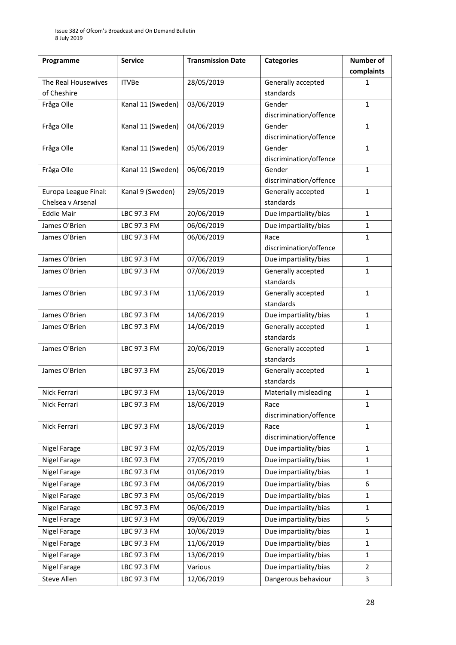| Programme            | <b>Service</b>    | <b>Transmission Date</b> | <b>Categories</b>      | <b>Number of</b> |
|----------------------|-------------------|--------------------------|------------------------|------------------|
|                      |                   |                          |                        | complaints       |
| The Real Housewives  | <b>ITVBe</b>      | 28/05/2019               | Generally accepted     | 1                |
| of Cheshire          |                   |                          | standards              |                  |
| Fråga Olle           | Kanal 11 (Sweden) | 03/06/2019               | Gender                 | $\mathbf{1}$     |
|                      |                   |                          | discrimination/offence |                  |
| Fråga Olle           | Kanal 11 (Sweden) | 04/06/2019               | Gender                 | $\mathbf{1}$     |
|                      |                   |                          | discrimination/offence |                  |
| Fråga Olle           | Kanal 11 (Sweden) | 05/06/2019               | Gender                 | $\mathbf{1}$     |
|                      |                   |                          | discrimination/offence |                  |
| Fråga Olle           | Kanal 11 (Sweden) | 06/06/2019               | Gender                 | $\mathbf{1}$     |
|                      |                   |                          | discrimination/offence |                  |
| Europa League Final: | Kanal 9 (Sweden)  | 29/05/2019               | Generally accepted     | $\mathbf{1}$     |
| Chelsea v Arsenal    |                   |                          | standards              |                  |
| <b>Eddie Mair</b>    | LBC 97.3 FM       | 20/06/2019               | Due impartiality/bias  | $\mathbf{1}$     |
| James O'Brien        | LBC 97.3 FM       | 06/06/2019               | Due impartiality/bias  | $\mathbf{1}$     |
| James O'Brien        | LBC 97.3 FM       | 06/06/2019               | Race                   | $\mathbf{1}$     |
|                      |                   |                          | discrimination/offence |                  |
| James O'Brien        | LBC 97.3 FM       | 07/06/2019               | Due impartiality/bias  | $\mathbf{1}$     |
| James O'Brien        | LBC 97.3 FM       | 07/06/2019               | Generally accepted     | $\mathbf{1}$     |
|                      |                   |                          | standards              |                  |
| James O'Brien        | LBC 97.3 FM       | 11/06/2019               | Generally accepted     | $\mathbf{1}$     |
|                      |                   |                          | standards              |                  |
| James O'Brien        | LBC 97.3 FM       | 14/06/2019               | Due impartiality/bias  | $\mathbf{1}$     |
| James O'Brien        | LBC 97.3 FM       | 14/06/2019               | Generally accepted     | $\mathbf{1}$     |
|                      |                   |                          | standards              |                  |
| James O'Brien        | LBC 97.3 FM       | 20/06/2019               | Generally accepted     | $\mathbf{1}$     |
|                      |                   |                          | standards              |                  |
| James O'Brien        | LBC 97.3 FM       | 25/06/2019               | Generally accepted     | $\mathbf{1}$     |
|                      |                   |                          | standards              |                  |
| Nick Ferrari         | LBC 97.3 FM       | 13/06/2019               | Materially misleading  | $\mathbf{1}$     |
| Nick Ferrari         | LBC 97.3 FM       | 18/06/2019               | Race                   | $\mathbf{1}$     |
|                      |                   |                          | discrimination/offence |                  |
| Nick Ferrari         | LBC 97.3 FM       | 18/06/2019               | Race                   | $\mathbf{1}$     |
|                      |                   |                          | discrimination/offence |                  |
| Nigel Farage         | LBC 97.3 FM       | 02/05/2019               | Due impartiality/bias  | $\mathbf{1}$     |
| <b>Nigel Farage</b>  | LBC 97.3 FM       | 27/05/2019               | Due impartiality/bias  | $\mathbf 1$      |
| <b>Nigel Farage</b>  | LBC 97.3 FM       | 01/06/2019               | Due impartiality/bias  | $\mathbf{1}$     |
| <b>Nigel Farage</b>  | LBC 97.3 FM       | 04/06/2019               | Due impartiality/bias  | 6                |
| <b>Nigel Farage</b>  | LBC 97.3 FM       | 05/06/2019               | Due impartiality/bias  | $\mathbf{1}$     |
| Nigel Farage         | LBC 97.3 FM       | 06/06/2019               | Due impartiality/bias  | $\mathbf{1}$     |
| Nigel Farage         | LBC 97.3 FM       | 09/06/2019               | Due impartiality/bias  | 5                |
| <b>Nigel Farage</b>  | LBC 97.3 FM       | 10/06/2019               | Due impartiality/bias  | $\mathbf{1}$     |
| <b>Nigel Farage</b>  | LBC 97.3 FM       | 11/06/2019               | Due impartiality/bias  | 1                |
|                      |                   |                          |                        |                  |
| <b>Nigel Farage</b>  | LBC 97.3 FM       | 13/06/2019               | Due impartiality/bias  | $\mathbf 1$      |
| <b>Nigel Farage</b>  | LBC 97.3 FM       | Various                  | Due impartiality/bias  | $\overline{2}$   |
| Steve Allen          | LBC 97.3 FM       | 12/06/2019               | Dangerous behaviour    | 3                |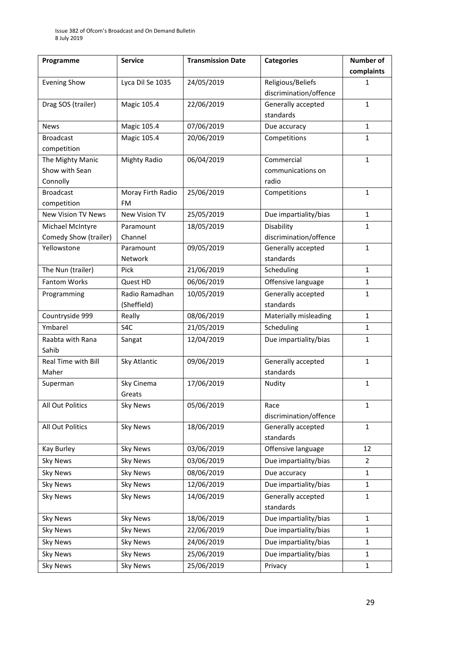| Programme                  | <b>Service</b>      | <b>Transmission Date</b> | <b>Categories</b>      | Number of      |  |
|----------------------------|---------------------|--------------------------|------------------------|----------------|--|
|                            |                     |                          |                        | complaints     |  |
| <b>Evening Show</b>        | Lyca Dil Se 1035    | 24/05/2019               | Religious/Beliefs      | 1              |  |
|                            |                     |                          | discrimination/offence |                |  |
| Drag SOS (trailer)         | Magic 105.4         | 22/06/2019               | Generally accepted     | 1              |  |
|                            |                     |                          | standards              |                |  |
| <b>News</b>                | Magic 105.4         | 07/06/2019               | Due accuracy           | $\mathbf{1}$   |  |
| <b>Broadcast</b>           | Magic 105.4         | 20/06/2019               | Competitions           | 1              |  |
| competition                |                     |                          |                        |                |  |
| The Mighty Manic           | <b>Mighty Radio</b> | 06/04/2019               | Commercial             | $\mathbf{1}$   |  |
| Show with Sean             |                     |                          | communications on      |                |  |
| Connolly                   |                     |                          | radio                  |                |  |
| <b>Broadcast</b>           | Moray Firth Radio   | 25/06/2019               | Competitions           | 1              |  |
| competition                | <b>FM</b>           |                          |                        |                |  |
| <b>New Vision TV News</b>  | New Vision TV       | 25/05/2019               | Due impartiality/bias  | $\mathbf{1}$   |  |
| Michael McIntyre           | Paramount           | 18/05/2019               | Disability             | 1              |  |
| Comedy Show (trailer)      | Channel             |                          | discrimination/offence |                |  |
| Yellowstone                | Paramount           | 09/05/2019               | Generally accepted     | $\mathbf{1}$   |  |
|                            | Network             |                          | standards              |                |  |
| The Nun (trailer)          | Pick                | 21/06/2019               | Scheduling             | $\mathbf{1}$   |  |
| <b>Fantom Works</b>        | Quest HD            | 06/06/2019               | Offensive language     | $\mathbf{1}$   |  |
| Programming                | Radio Ramadhan      | 10/05/2019               | Generally accepted     | 1              |  |
|                            | (Sheffield)         |                          | standards              |                |  |
| Countryside 999            | Really              | 08/06/2019               | Materially misleading  | $\mathbf{1}$   |  |
| Ymbarel                    | S4C                 | 21/05/2019               | Scheduling             | 1              |  |
| Raabta with Rana           | Sangat              | 12/04/2019               | Due impartiality/bias  | $\mathbf{1}$   |  |
| Sahib                      |                     |                          |                        |                |  |
| <b>Real Time with Bill</b> | Sky Atlantic        | 09/06/2019               | Generally accepted     | $\mathbf{1}$   |  |
| Maher                      |                     |                          | standards              |                |  |
| Superman                   | Sky Cinema          | 17/06/2019               | Nudity                 | $\mathbf{1}$   |  |
|                            | Greats              |                          |                        |                |  |
| All Out Politics           | <b>Sky News</b>     | 05/06/2019               | Race                   | 1              |  |
|                            |                     |                          | discrimination/offence |                |  |
| All Out Politics           | <b>Sky News</b>     | 18/06/2019               | Generally accepted     | $\mathbf{1}$   |  |
|                            |                     |                          | standards              |                |  |
| Kay Burley                 | <b>Sky News</b>     | 03/06/2019               | Offensive language     | 12             |  |
| <b>Sky News</b>            | <b>Sky News</b>     | 03/06/2019               | Due impartiality/bias  | $\overline{2}$ |  |
| <b>Sky News</b>            | <b>Sky News</b>     | 08/06/2019               | Due accuracy           | 1              |  |
| <b>Sky News</b>            | <b>Sky News</b>     | 12/06/2019               | Due impartiality/bias  | $\mathbf{1}$   |  |
| <b>Sky News</b>            | <b>Sky News</b>     | 14/06/2019               | Generally accepted     | $\mathbf 1$    |  |
|                            |                     |                          | standards              |                |  |
| <b>Sky News</b>            | <b>Sky News</b>     | 18/06/2019               | Due impartiality/bias  | $\mathbf{1}$   |  |
| <b>Sky News</b>            | <b>Sky News</b>     | 22/06/2019               | Due impartiality/bias  | $\mathbf{1}$   |  |
| <b>Sky News</b>            | <b>Sky News</b>     | 24/06/2019               | Due impartiality/bias  | 1              |  |
| <b>Sky News</b>            | <b>Sky News</b>     | 25/06/2019               | Due impartiality/bias  | $\mathbf{1}$   |  |
| <b>Sky News</b>            | <b>Sky News</b>     | 25/06/2019               | Privacy<br>$\mathbf 1$ |                |  |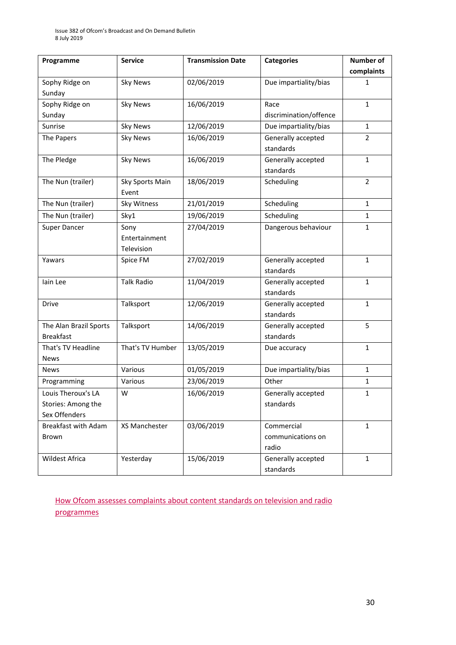| Programme                  | <b>Service</b>    | <b>Transmission Date</b> | <b>Categories</b>                     | Number of      |
|----------------------------|-------------------|--------------------------|---------------------------------------|----------------|
|                            |                   |                          |                                       | complaints     |
| Sophy Ridge on             | <b>Sky News</b>   | 02/06/2019               | Due impartiality/bias                 | 1              |
| Sunday                     |                   |                          |                                       |                |
| Sophy Ridge on             | <b>Sky News</b>   | 16/06/2019               | Race                                  | $\mathbf{1}$   |
| Sunday                     |                   |                          | discrimination/offence                |                |
| Sunrise                    | <b>Sky News</b>   | 12/06/2019               | Due impartiality/bias                 | $\mathbf{1}$   |
| The Papers                 | <b>Sky News</b>   | 16/06/2019               | Generally accepted                    | $\overline{2}$ |
|                            |                   |                          | standards                             |                |
| The Pledge                 | <b>Sky News</b>   | 16/06/2019               | Generally accepted                    | $\mathbf{1}$   |
|                            |                   |                          | standards                             |                |
| The Nun (trailer)          | Sky Sports Main   | 18/06/2019               | Scheduling                            | $\overline{2}$ |
|                            | Event             |                          |                                       |                |
| The Nun (trailer)          | Sky Witness       | 21/01/2019               | Scheduling                            | $\mathbf{1}$   |
| The Nun (trailer)          | Sky1              | 19/06/2019               | Scheduling                            | $\mathbf{1}$   |
| <b>Super Dancer</b>        | Sony              | 27/04/2019               | Dangerous behaviour                   | $\mathbf{1}$   |
|                            | Entertainment     |                          |                                       |                |
|                            | Television        |                          |                                       |                |
| Yawars                     | Spice FM          | 27/02/2019               | Generally accepted                    | $\mathbf{1}$   |
|                            |                   |                          | standards                             |                |
| lain Lee                   | <b>Talk Radio</b> | 11/04/2019               | Generally accepted                    | $\mathbf{1}$   |
|                            |                   |                          | standards                             |                |
| <b>Drive</b>               | Talksport         | 12/06/2019               | Generally accepted                    | $\mathbf{1}$   |
|                            |                   |                          | standards                             |                |
| The Alan Brazil Sports     | Talksport         | 14/06/2019               | 5<br>Generally accepted               |                |
| <b>Breakfast</b>           |                   |                          | standards                             |                |
| That's TV Headline         | That's TV Humber  | 13/05/2019               | $\mathbf{1}$<br>Due accuracy          |                |
| <b>News</b>                |                   |                          |                                       |                |
| News                       | Various           | 01/05/2019               | Due impartiality/bias<br>$\mathbf{1}$ |                |
| Programming                | Various           | 23/06/2019               | Other                                 | $\mathbf{1}$   |
| Louis Theroux's LA         | W                 | 16/06/2019               | Generally accepted                    | 1              |
| Stories: Among the         |                   |                          | standards                             |                |
| Sex Offenders              |                   |                          |                                       |                |
| <b>Breakfast with Adam</b> | XS Manchester     | 03/06/2019               | Commercial                            | $\mathbf{1}$   |
| Brown                      |                   |                          | communications on                     |                |
|                            |                   |                          | radio                                 |                |
| Wildest Africa             | Yesterday         | 15/06/2019               | Generally accepted                    | $\mathbf{1}$   |
|                            |                   |                          | standards                             |                |

[How Ofcom assesses complaints about content standards on television and radio](https://www.ofcom.org.uk/__data/assets/pdf_file/0020/55109/breaches-content-standards.pdf)  [programmes](https://www.ofcom.org.uk/__data/assets/pdf_file/0020/55109/breaches-content-standards.pdf)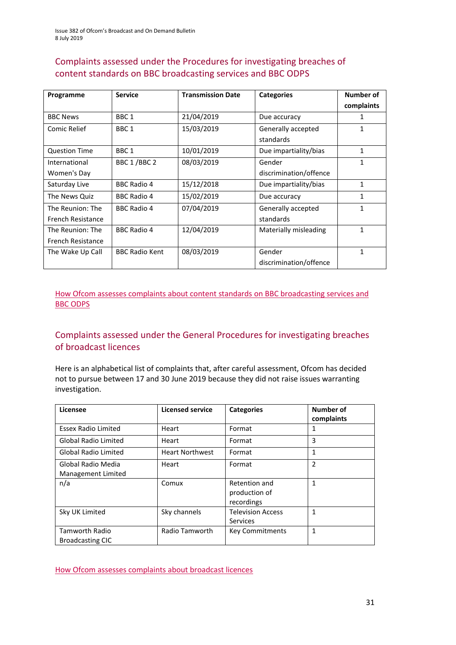### Complaints assessed under the Procedures for investigating breaches of content standards on BBC broadcasting services and BBC ODPS

| Programme                | <b>Service</b>        | <b>Transmission Date</b> | <b>Categories</b>      | Number of    |
|--------------------------|-----------------------|--------------------------|------------------------|--------------|
|                          |                       |                          |                        | complaints   |
| <b>BBC News</b>          | BBC <sub>1</sub>      | 21/04/2019               | Due accuracy           | 1            |
| Comic Relief             | BBC <sub>1</sub>      | 15/03/2019               | Generally accepted     | 1            |
|                          |                       |                          | standards              |              |
| <b>Question Time</b>     | BBC <sub>1</sub>      | 10/01/2019               | Due impartiality/bias  | 1            |
| International            | BBC 1/BBC 2           | 08/03/2019               | Gender                 | 1            |
| Women's Day              |                       |                          | discrimination/offence |              |
| Saturday Live            | <b>BBC Radio 4</b>    | 15/12/2018               | Due impartiality/bias  | 1            |
| The News Quiz            | <b>BBC Radio 4</b>    | 15/02/2019               | Due accuracy           | 1            |
| The Reunion: The         | <b>BBC Radio 4</b>    | 07/04/2019               | Generally accepted     | 1            |
| French Resistance        |                       |                          | standards              |              |
| The Reunion: The         | <b>BBC Radio 4</b>    | 12/04/2019               | Materially misleading  | 1            |
| <b>French Resistance</b> |                       |                          |                        |              |
| The Wake Up Call         | <b>BBC Radio Kent</b> | 08/03/2019               | Gender                 | $\mathbf{1}$ |
|                          |                       |                          | discrimination/offence |              |

[How Ofcom assesses complaints about content standards](https://www.ofcom.org.uk/__data/assets/pdf_file/0002/100100/Procedures-for-investigating-breaches-of-content-standards-on-BBC-broadcasting-services-and-BBC-on-demand-programme-services.pdf) on BBC broadcasting services and [BBC ODPS](https://www.ofcom.org.uk/__data/assets/pdf_file/0002/100100/Procedures-for-investigating-breaches-of-content-standards-on-BBC-broadcasting-services-and-BBC-on-demand-programme-services.pdf)

### Complaints assessed under the General Procedures for investigating breaches of broadcast licences

Here is an alphabetical list of complaints that, after careful assessment, Ofcom has decided not to pursue between 17 and 30 June 2019 because they did not raise issues warranting investigation.

| Licensee                                         | <b>Licensed service</b> | <b>Categories</b>                            | Number of<br>complaints |
|--------------------------------------------------|-------------------------|----------------------------------------------|-------------------------|
| <b>Essex Radio Limited</b>                       | Heart                   | Format                                       | 1                       |
| <b>Global Radio Limited</b>                      | Heart                   | Format                                       | 3                       |
| <b>Global Radio Limited</b>                      | <b>Heart Northwest</b>  | Format                                       | $\mathbf{1}$            |
| Global Radio Media<br>Management Limited         | Heart                   | Format                                       | $\overline{2}$          |
| n/a                                              | Comux                   | Retention and<br>production of<br>recordings | $\mathbf{1}$            |
| Sky UK Limited                                   | Sky channels            | <b>Television Access</b><br><b>Services</b>  | 1                       |
| <b>Tamworth Radio</b><br><b>Broadcasting CIC</b> | Radio Tamworth          | <b>Key Commitments</b>                       | 1                       |

[How Ofcom assesses complaints about broadcast licences](https://www.ofcom.org.uk/__data/assets/pdf_file/0019/31942/general-procedures.pdf)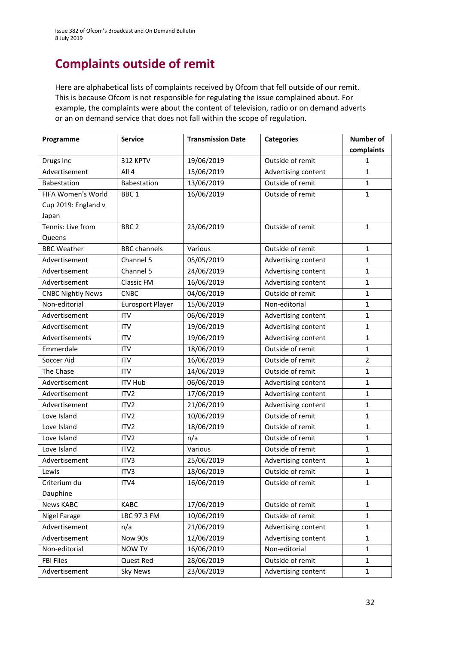# **Complaints outside of remit**

Here are alphabetical lists of complaints received by Ofcom that fell outside of our remit. This is because Ofcom is not responsible for regulating the issue complained about. For example, the complaints were about the content of television, radio or on demand adverts or an on demand service that does not fall within the scope of regulation.

| Programme                | <b>Service</b>          | <b>Transmission Date</b> | <b>Categories</b>                   | Number of      |
|--------------------------|-------------------------|--------------------------|-------------------------------------|----------------|
|                          |                         |                          |                                     | complaints     |
| Drugs Inc                | 312 KPTV                | 19/06/2019               | Outside of remit                    | 1              |
| Advertisement            | All 4                   | 15/06/2019               | Advertising content                 | $\mathbf{1}$   |
| Babestation              | Babestation             | 13/06/2019               | Outside of remit                    | $\mathbf 1$    |
| FIFA Women's World       | BBC <sub>1</sub>        | 16/06/2019               | Outside of remit                    | $\mathbf{1}$   |
| Cup 2019: England v      |                         |                          |                                     |                |
| Japan                    |                         |                          |                                     |                |
| Tennis: Live from        | BBC <sub>2</sub>        | 23/06/2019               | Outside of remit                    | $\mathbf{1}$   |
| Queens                   |                         |                          |                                     |                |
| <b>BBC Weather</b>       | <b>BBC</b> channels     | Various                  | Outside of remit                    | 1              |
| Advertisement            | Channel 5               | 05/05/2019               | Advertising content                 | 1              |
| Advertisement            | Channel 5               | 24/06/2019               | Advertising content                 | $\mathbf{1}$   |
| Advertisement            | Classic FM              | 16/06/2019               | Advertising content                 | $\mathbf 1$    |
| <b>CNBC Nightly News</b> | <b>CNBC</b>             | 04/06/2019               | Outside of remit                    | $\mathbf{1}$   |
| Non-editorial            | <b>Eurosport Player</b> | 15/06/2019               | Non-editorial                       | $\mathbf{1}$   |
| Advertisement            | <b>ITV</b>              | 06/06/2019               | Advertising content                 | 1              |
| Advertisement            | <b>ITV</b>              | 19/06/2019               | Advertising content                 | $\mathbf{1}$   |
| Advertisements           | <b>ITV</b>              | 19/06/2019               | Advertising content                 | 1              |
| Emmerdale                | <b>ITV</b>              | 18/06/2019               | Outside of remit                    | $\mathbf 1$    |
| Soccer Aid               | <b>ITV</b>              | 16/06/2019               | Outside of remit                    | $\overline{2}$ |
| The Chase                | <b>ITV</b>              | 14/06/2019               | Outside of remit                    | $\mathbf{1}$   |
| Advertisement            | <b>ITV Hub</b>          | 06/06/2019               | Advertising content                 | 1              |
| Advertisement            | ITV <sub>2</sub>        | 17/06/2019               | Advertising content                 | 1              |
| Advertisement            | ITV <sub>2</sub>        | 21/06/2019               | Advertising content<br>1            |                |
| Love Island              | ITV <sub>2</sub>        | 10/06/2019               | Outside of remit                    | $\mathbf{1}$   |
| Love Island              | ITV <sub>2</sub>        | 18/06/2019               | Outside of remit                    | $\mathbf{1}$   |
| Love Island              | ITV <sub>2</sub>        | n/a                      | Outside of remit                    | $\mathbf 1$    |
| Love Island              | ITV <sub>2</sub>        | Various                  | Outside of remit                    | 1              |
| Advertisement            | ITV3                    | 25/06/2019               | Advertising content                 | 1              |
| Lewis                    | ITV3                    | 18/06/2019               | Outside of remit                    | $\mathbf 1$    |
| Criterium du             | ITV4                    | 16/06/2019               | Outside of remit                    | $\mathbf{1}$   |
| Dauphine                 |                         |                          |                                     |                |
| <b>News KABC</b>         | <b>KABC</b>             | 17/06/2019               | Outside of remit                    | $\mathbf{1}$   |
| Nigel Farage             | LBC 97.3 FM             | 10/06/2019               | Outside of remit                    | $\mathbf{1}$   |
| Advertisement            | n/a                     | 21/06/2019               | Advertising content                 | $\mathbf{1}$   |
| Advertisement            | Now 90s                 | 12/06/2019               | Advertising content                 | $\mathbf 1$    |
| Non-editorial            | <b>NOW TV</b>           | 16/06/2019               | Non-editorial                       | $\mathbf{1}$   |
| <b>FBI Files</b>         | Quest Red               | 28/06/2019               | Outside of remit                    | 1              |
| Advertisement            | <b>Sky News</b>         | 23/06/2019               | Advertising content<br>$\mathbf{1}$ |                |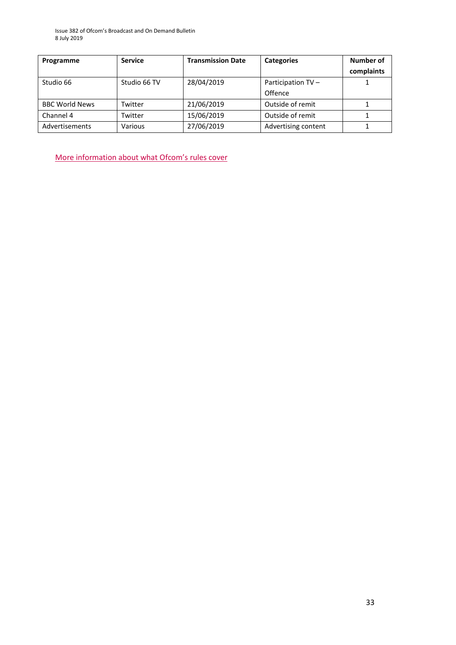| Programme             | <b>Service</b> | <b>Transmission Date</b> | <b>Categories</b>   | Number of<br>complaints |
|-----------------------|----------------|--------------------------|---------------------|-------------------------|
| Studio 66             | Studio 66 TV   | 28/04/2019               | Participation TV -  |                         |
|                       |                |                          | Offence             |                         |
| <b>BBC World News</b> | Twitter        | 21/06/2019               | Outside of remit    |                         |
| Channel 4             | Twitter        | 15/06/2019               | Outside of remit    |                         |
| Advertisements        | Various        | 27/06/2019               | Advertising content |                         |

M[ore information about what Ofcom's](https://www.ofcom.org.uk/tv-radio-and-on-demand/how-to-report-a-complaint/what-does-ofcom-cover) rules cover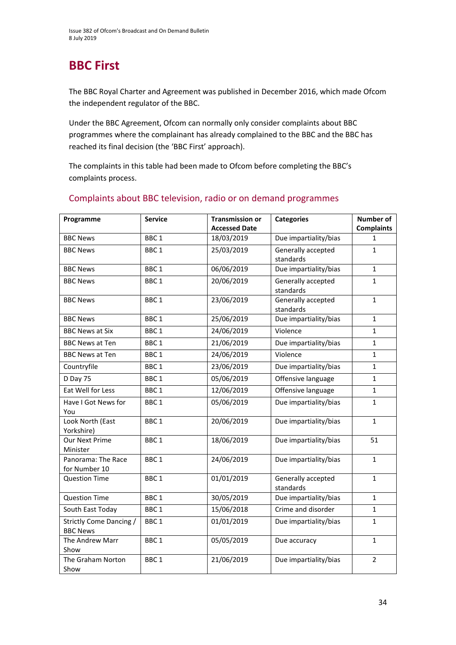# **BBC First**

The BBC Royal Charter and Agreement was published in December 2016, which made Ofcom the independent regulator of the BBC.

Under the BBC Agreement, Ofcom can normally only consider complaints about BBC programmes where the complainant has already complained to the BBC and the BBC has reached its final decision (the 'BBC First' approach).

The complaints in this table had been made to Ofcom before completing the BBC's complaints process.

| Programme                                  | <b>Service</b>   | <b>Transmission or</b> | <b>Categories</b>                     | <b>Number of</b>  |
|--------------------------------------------|------------------|------------------------|---------------------------------------|-------------------|
|                                            |                  | <b>Accessed Date</b>   |                                       | <b>Complaints</b> |
| <b>BBC News</b>                            | BBC <sub>1</sub> | 18/03/2019             | Due impartiality/bias<br>$\mathbf{1}$ |                   |
| <b>BBC News</b>                            | BBC <sub>1</sub> | 25/03/2019             | Generally accepted<br>standards       | $\mathbf{1}$      |
| <b>BBC News</b>                            | BBC <sub>1</sub> | 06/06/2019             | Due impartiality/bias<br>$\mathbf{1}$ |                   |
| <b>BBC News</b>                            | BBC <sub>1</sub> | 20/06/2019             | Generally accepted<br>standards       | $\mathbf{1}$      |
| <b>BBC News</b>                            | BBC <sub>1</sub> | 23/06/2019             | Generally accepted<br>standards       | $\mathbf{1}$      |
| <b>BBC News</b>                            | BBC <sub>1</sub> | 25/06/2019             | Due impartiality/bias                 | $\mathbf{1}$      |
| <b>BBC News at Six</b>                     | BBC <sub>1</sub> | 24/06/2019             | Violence                              | $\mathbf{1}$      |
| <b>BBC News at Ten</b>                     | BBC <sub>1</sub> | 21/06/2019             | Due impartiality/bias                 | $\mathbf{1}$      |
| <b>BBC News at Ten</b>                     | BBC <sub>1</sub> | 24/06/2019             | Violence                              | $\mathbf{1}$      |
| Countryfile                                | BBC <sub>1</sub> | 23/06/2019             | Due impartiality/bias                 | $\mathbf{1}$      |
| D Day 75                                   | BBC <sub>1</sub> | 05/06/2019             | Offensive language                    | $\mathbf{1}$      |
| Eat Well for Less                          | BBC <sub>1</sub> | 12/06/2019             | Offensive language                    | $\mathbf{1}$      |
| Have I Got News for<br>You                 | BBC <sub>1</sub> | 05/06/2019             | Due impartiality/bias                 | $\mathbf{1}$      |
| Look North (East<br>Yorkshire)             | BBC <sub>1</sub> | 20/06/2019             | Due impartiality/bias                 | $\mathbf{1}$      |
| Our Next Prime<br>Minister                 | BBC <sub>1</sub> | 18/06/2019             | Due impartiality/bias                 | 51                |
| Panorama: The Race<br>for Number 10        | BBC <sub>1</sub> | 24/06/2019             | Due impartiality/bias                 | $\mathbf{1}$      |
| <b>Question Time</b>                       | BBC <sub>1</sub> | 01/01/2019             | Generally accepted<br>standards       | $\mathbf{1}$      |
| <b>Question Time</b>                       | BBC <sub>1</sub> | 30/05/2019             | Due impartiality/bias                 | $\mathbf{1}$      |
| South East Today                           | BBC <sub>1</sub> | 15/06/2018             | Crime and disorder                    | $\mathbf{1}$      |
| Strictly Come Dancing /<br><b>BBC News</b> | BBC <sub>1</sub> | 01/01/2019             | Due impartiality/bias                 | $\mathbf{1}$      |
| The Andrew Marr<br>Show                    | BBC <sub>1</sub> | 05/05/2019             | Due accuracy                          | $\mathbf{1}$      |
| The Graham Norton<br>Show                  | BBC <sub>1</sub> | 21/06/2019             | Due impartiality/bias                 | $\overline{2}$    |

### Complaints about BBC television, radio or on demand programmes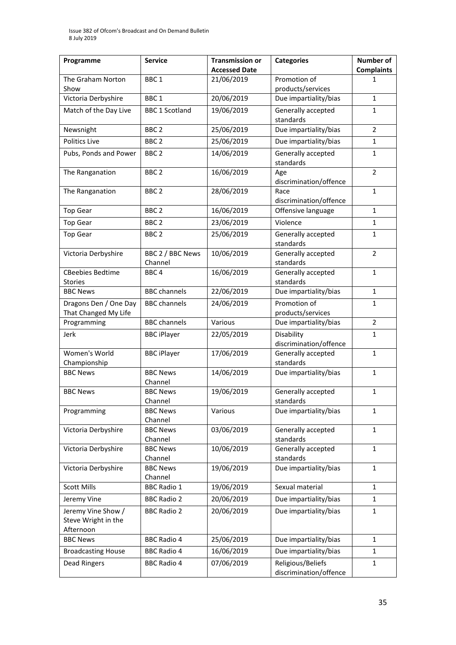| Programme                                              | <b>Service</b>              | <b>Transmission or</b><br><b>Accessed Date</b> | <b>Categories</b>                           | Number of<br><b>Complaints</b> |
|--------------------------------------------------------|-----------------------------|------------------------------------------------|---------------------------------------------|--------------------------------|
| The Graham Norton<br>Show                              | BBC <sub>1</sub>            | 21/06/2019                                     | Promotion of<br>products/services           | 1                              |
| Victoria Derbyshire                                    | BBC <sub>1</sub>            | 20/06/2019                                     | Due impartiality/bias<br>$\mathbf{1}$       |                                |
| Match of the Day Live                                  | <b>BBC 1 Scotland</b>       | 19/06/2019                                     | Generally accepted<br>standards             | 1                              |
| Newsnight                                              | BBC <sub>2</sub>            | 25/06/2019                                     | Due impartiality/bias                       | $\overline{2}$                 |
| <b>Politics Live</b>                                   | BBC <sub>2</sub>            | 25/06/2019                                     | Due impartiality/bias                       | 1                              |
| Pubs, Ponds and Power                                  | BBC <sub>2</sub>            | 14/06/2019                                     | Generally accepted<br>standards             | 1                              |
| The Ranganation                                        | BBC <sub>2</sub>            | 16/06/2019                                     | Age<br>discrimination/offence               | 2                              |
| The Ranganation                                        | BBC <sub>2</sub>            | 28/06/2019                                     | Race<br>discrimination/offence              | $\mathbf{1}$                   |
| <b>Top Gear</b>                                        | BBC <sub>2</sub>            | 16/06/2019                                     | Offensive language                          | 1                              |
| <b>Top Gear</b>                                        | BBC <sub>2</sub>            | 23/06/2019                                     | Violence                                    | 1                              |
| <b>Top Gear</b>                                        | BBC <sub>2</sub>            | 25/06/2019                                     | Generally accepted<br>standards             | 1                              |
| Victoria Derbyshire                                    | BBC 2 / BBC News<br>Channel | 10/06/2019                                     | Generally accepted<br>standards             | $\overline{2}$                 |
| <b>CBeebies Bedtime</b><br><b>Stories</b>              | BBC <sub>4</sub>            | 16/06/2019                                     | Generally accepted<br>standards             | $\mathbf{1}$                   |
| <b>BBC News</b>                                        | <b>BBC</b> channels         | 22/06/2019                                     | Due impartiality/bias<br>$\mathbf{1}$       |                                |
| Dragons Den / One Day<br>That Changed My Life          | <b>BBC</b> channels         | 24/06/2019                                     | Promotion of<br>products/services           | 1                              |
| Programming                                            | <b>BBC</b> channels         | Various                                        | Due impartiality/bias                       | $\overline{2}$                 |
| Jerk                                                   | <b>BBC</b> iPlayer          | 22/05/2019                                     | Disability<br>discrimination/offence        | $\mathbf{1}$                   |
| Women's World<br>Championship                          | <b>BBC iPlayer</b>          | 17/06/2019                                     | Generally accepted<br>standards             | $\mathbf{1}$                   |
| <b>BBC News</b>                                        | <b>BBC News</b><br>Channel  | 14/06/2019                                     | Due impartiality/bias                       | $\mathbf{1}$                   |
| <b>BBC News</b>                                        | <b>BBC News</b><br>Channel  | 19/06/2019                                     | Generally accepted<br>standards             | $\mathbf{1}$                   |
| Programming                                            | <b>BBC News</b><br>Channel  | Various                                        | Due impartiality/bias                       | $\mathbf{1}$                   |
| Victoria Derbyshire                                    | <b>BBC News</b><br>Channel  | 03/06/2019                                     | Generally accepted<br>standards             | $\mathbf{1}$                   |
| Victoria Derbyshire                                    | <b>BBC News</b><br>Channel  | 10/06/2019                                     | Generally accepted<br>standards             | $\mathbf{1}$                   |
| Victoria Derbyshire                                    | <b>BBC News</b><br>Channel  | 19/06/2019                                     | Due impartiality/bias                       | 1                              |
| <b>Scott Mills</b>                                     | <b>BBC Radio 1</b>          | 19/06/2019                                     | Sexual material                             | 1                              |
| Jeremy Vine                                            | <b>BBC Radio 2</b>          | 20/06/2019                                     | Due impartiality/bias                       | 1                              |
| Jeremy Vine Show /<br>Steve Wright in the<br>Afternoon | <b>BBC Radio 2</b>          | 20/06/2019                                     | Due impartiality/bias                       | 1                              |
| <b>BBC News</b>                                        | <b>BBC Radio 4</b>          | 25/06/2019                                     | Due impartiality/bias                       | 1                              |
| <b>Broadcasting House</b>                              | <b>BBC Radio 4</b>          | 16/06/2019                                     | Due impartiality/bias                       | 1                              |
| <b>Dead Ringers</b>                                    | <b>BBC Radio 4</b>          | 07/06/2019                                     | Religious/Beliefs<br>discrimination/offence | 1                              |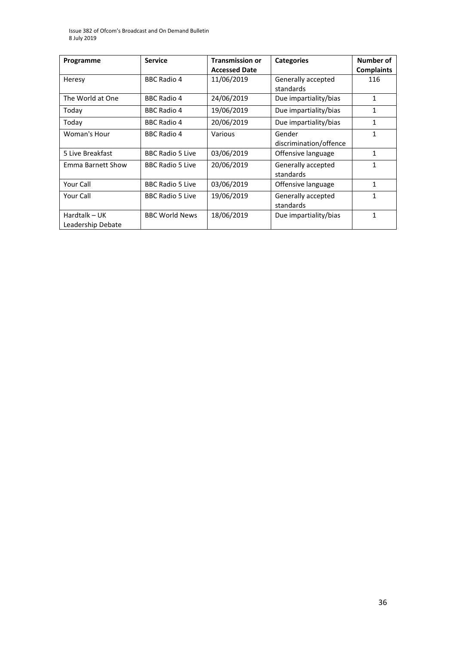| Programme                          | <b>Service</b>          | <b>Transmission or</b> | <b>Categories</b>                | <b>Number of</b>  |
|------------------------------------|-------------------------|------------------------|----------------------------------|-------------------|
|                                    |                         | <b>Accessed Date</b>   |                                  | <b>Complaints</b> |
| Heresy                             | <b>BBC Radio 4</b>      | 11/06/2019             | Generally accepted<br>standards  | 116               |
| The World at One                   | <b>BBC Radio 4</b>      | 24/06/2019             | Due impartiality/bias            | 1                 |
| Today                              | <b>BBC Radio 4</b>      | 19/06/2019             | Due impartiality/bias            | 1                 |
| Today                              | <b>BBC Radio 4</b>      | 20/06/2019             | Due impartiality/bias            | 1                 |
| Woman's Hour                       | <b>BBC Radio 4</b>      | Various                | Gender<br>discrimination/offence | 1                 |
| 5 Live Breakfast                   | <b>BBC Radio 5 Live</b> | 03/06/2019             | Offensive language               | $\mathbf{1}$      |
| Emma Barnett Show                  | <b>BBC Radio 5 Live</b> | 20/06/2019             | Generally accepted<br>standards  | 1                 |
| Your Call                          | <b>BBC Radio 5 Live</b> | 03/06/2019             | Offensive language               | 1                 |
| Your Call                          | <b>BBC Radio 5 Live</b> | 19/06/2019             | Generally accepted<br>standards  | 1                 |
| Hardtalk - UK<br>Leadership Debate | <b>BBC World News</b>   | 18/06/2019             | Due impartiality/bias            | 1                 |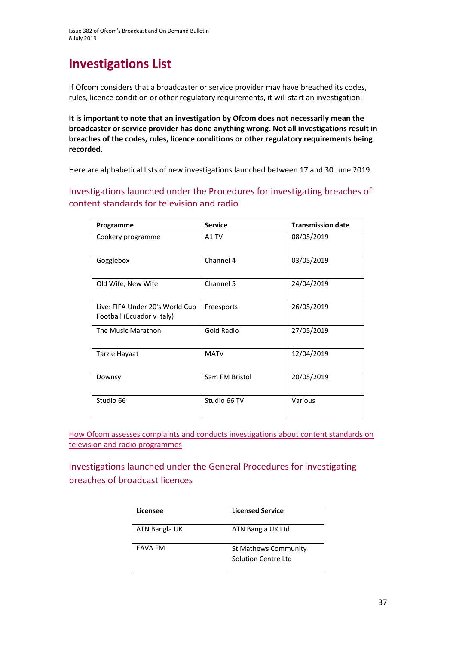# **Investigations List**

If Ofcom considers that a broadcaster or service provider may have breached its codes, rules, licence condition or other regulatory requirements, it will start an investigation.

**It is important to note that an investigation by Ofcom does not necessarily mean the broadcaster or service provider has done anything wrong. Not all investigations result in breaches of the codes, rules, licence conditions or other regulatory requirements being recorded.**

Here are alphabetical lists of new investigations launched between 17 and 30 June 2019.

Investigations launched under the Procedures for investigating breaches of content standards for television and radio

| Programme                                                     | <b>Service</b>    | <b>Transmission date</b> |
|---------------------------------------------------------------|-------------------|--------------------------|
| Cookery programme                                             | A1 TV             | 08/05/2019               |
| Gogglebox                                                     | Channel 4         | 03/05/2019               |
| Old Wife, New Wife                                            | Channel 5         | 24/04/2019               |
| Live: FIFA Under 20's World Cup<br>Football (Ecuador v Italy) | Freesports        | 26/05/2019               |
| The Music Marathon                                            | <b>Gold Radio</b> | 27/05/2019               |
| Tarz e Hayaat                                                 | <b>MATV</b>       | 12/04/2019               |
| Downsy                                                        | Sam FM Bristol    | 20/05/2019               |
| Studio 66                                                     | Studio 66 TV      | Various                  |

[How Ofcom assesses complaints and conducts investigations about content standards on](https://www.ofcom.org.uk/__data/assets/pdf_file/0020/55109/breaches-content-standards.pdf)  [television and radio programmes](https://www.ofcom.org.uk/__data/assets/pdf_file/0020/55109/breaches-content-standards.pdf)

Investigations launched under the General Procedures for investigating breaches of broadcast licences

| Licensee      | <b>Licensed Service</b>                     |
|---------------|---------------------------------------------|
| ATN Bangla UK | ATN Bangla UK Ltd                           |
| EAVA FM       | St Mathews Community<br>Solution Centre Ltd |